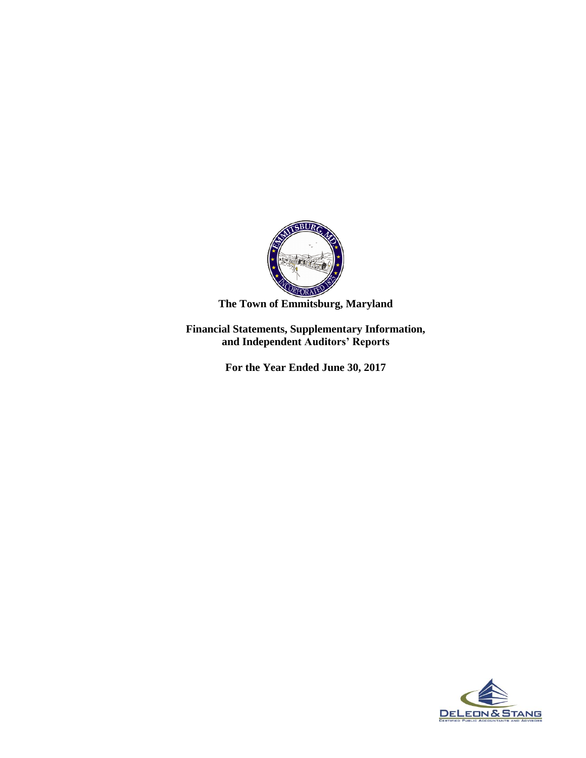

**The Town of Emmitsburg, Maryland**

**Financial Statements, Supplementary Information, and Independent Auditors' Reports**

**For the Year Ended June 30, 2017**

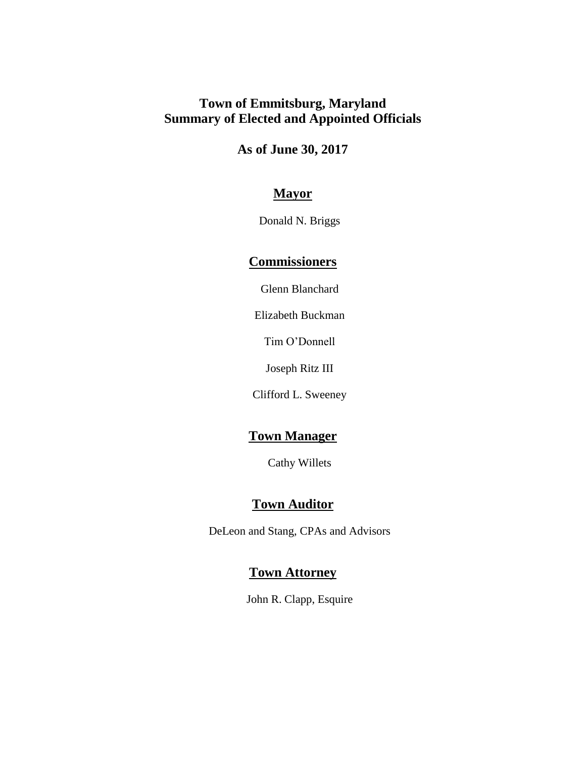# **Town of Emmitsburg, Maryland Summary of Elected and Appointed Officials**

**As of June 30, 2017**

## **Mayor**

Donald N. Briggs

## **Commissioners**

Glenn Blanchard

Elizabeth Buckman

Tim O'Donnell

Joseph Ritz III

Clifford L. Sweeney

## **Town Manager**

Cathy Willets

## **Town Auditor**

DeLeon and Stang, CPAs and Advisors

## **Town Attorney**

John R. Clapp, Esquire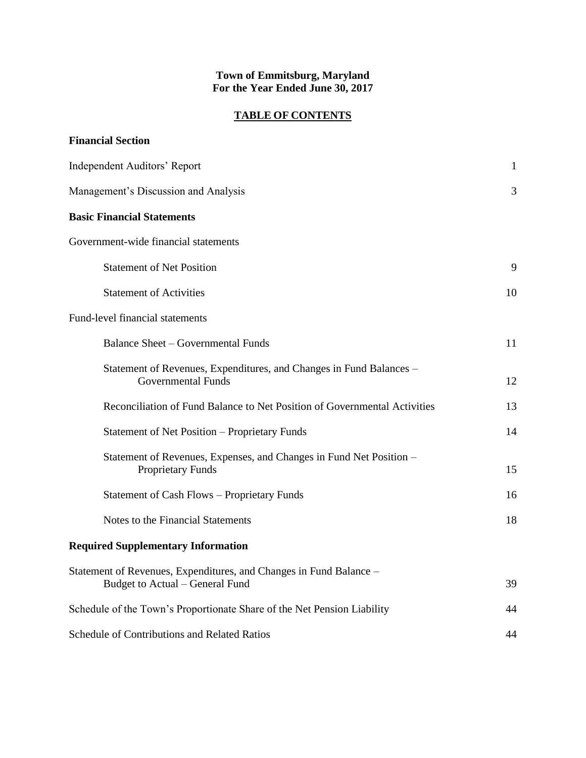#### **Town of Emmitsburg, Maryland For the Year Ended June 30, 2017**

## **TABLE OF CONTENTS**

| <b>Financial Section</b>                                                                              |    |
|-------------------------------------------------------------------------------------------------------|----|
| <b>Independent Auditors' Report</b>                                                                   | 1  |
| Management's Discussion and Analysis                                                                  | 3  |
| <b>Basic Financial Statements</b>                                                                     |    |
| Government-wide financial statements                                                                  |    |
| <b>Statement of Net Position</b>                                                                      | 9  |
| <b>Statement of Activities</b>                                                                        | 10 |
| Fund-level financial statements                                                                       |    |
| <b>Balance Sheet - Governmental Funds</b>                                                             | 11 |
| Statement of Revenues, Expenditures, and Changes in Fund Balances -<br><b>Governmental Funds</b>      | 12 |
| Reconciliation of Fund Balance to Net Position of Governmental Activities                             | 13 |
| Statement of Net Position - Proprietary Funds                                                         | 14 |
| Statement of Revenues, Expenses, and Changes in Fund Net Position -<br><b>Proprietary Funds</b>       | 15 |
| Statement of Cash Flows - Proprietary Funds                                                           | 16 |
| Notes to the Financial Statements                                                                     | 18 |
| <b>Required Supplementary Information</b>                                                             |    |
| Statement of Revenues, Expenditures, and Changes in Fund Balance -<br>Budget to Actual - General Fund | 39 |
| Schedule of the Town's Proportionate Share of the Net Pension Liability                               | 44 |
| Schedule of Contributions and Related Ratios                                                          | 44 |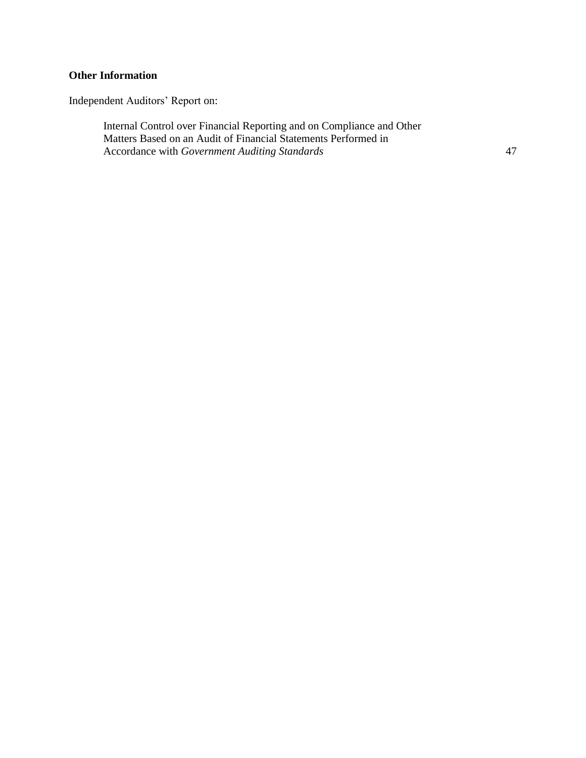### **Other Information**

Independent Auditors' Report on:

Internal Control over Financial Reporting and on Compliance and Other Matters Based on an Audit of Financial Statements Performed in Accordance with *Government Auditing Standards* 47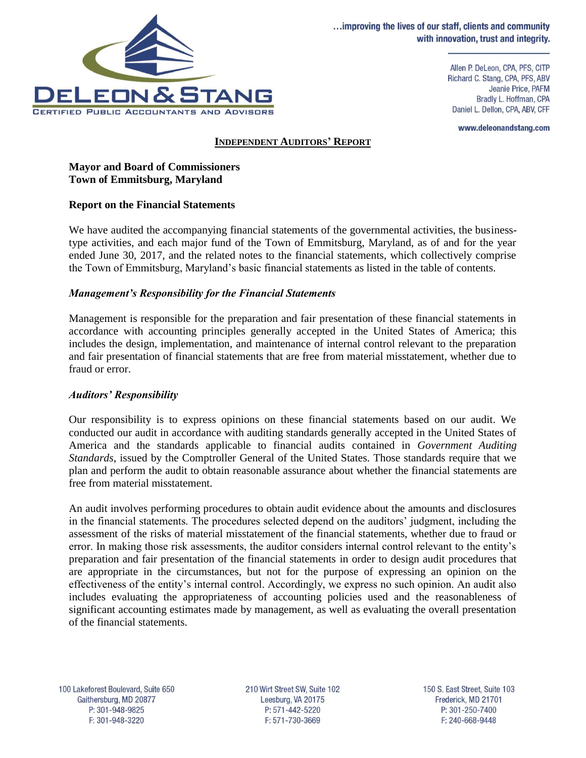

... improving the lives of our staff, clients and community with innovation, trust and integrity.

> Allen P. DeLeon, CPA, PFS, CITP Richard C. Stang, CPA, PFS, ABV Jeanie Price, PAFM Bradly L. Hoffman, CPA Daniel L. Dellon, CPA, ABV, CFF

www.deleonandstang.com

#### **INDEPENDENT AUDITORS' REPORT**

**Mayor and Board of Commissioners Town of Emmitsburg, Maryland** 

#### **Report on the Financial Statements**

We have audited the accompanying financial statements of the governmental activities, the businesstype activities, and each major fund of the Town of Emmitsburg, Maryland, as of and for the year ended June 30, 2017, and the related notes to the financial statements, which collectively comprise the Town of Emmitsburg, Maryland's basic financial statements as listed in the table of contents.

#### *Management's Responsibility for the Financial Statements*

Management is responsible for the preparation and fair presentation of these financial statements in accordance with accounting principles generally accepted in the United States of America; this includes the design, implementation, and maintenance of internal control relevant to the preparation and fair presentation of financial statements that are free from material misstatement, whether due to fraud or error.

#### *Auditors' Responsibility*

Our responsibility is to express opinions on these financial statements based on our audit. We conducted our audit in accordance with auditing standards generally accepted in the United States of America and the standards applicable to financial audits contained in *Government Auditing Standards*, issued by the Comptroller General of the United States. Those standards require that we plan and perform the audit to obtain reasonable assurance about whether the financial statements are free from material misstatement.

An audit involves performing procedures to obtain audit evidence about the amounts and disclosures in the financial statements. The procedures selected depend on the auditors' judgment, including the assessment of the risks of material misstatement of the financial statements, whether due to fraud or error. In making those risk assessments, the auditor considers internal control relevant to the entity's preparation and fair presentation of the financial statements in order to design audit procedures that are appropriate in the circumstances, but not for the purpose of expressing an opinion on the effectiveness of the entity's internal control. Accordingly, we express no such opinion. An audit also includes evaluating the appropriateness of accounting policies used and the reasonableness of significant accounting estimates made by management, as well as evaluating the overall presentation of the financial statements.

210 Wirt Street SW, Suite 102 Leesburg, VA 20175 P: 571-442-5220 F: 571-730-3669

150 S. East Street, Suite 103 Frederick, MD 21701 P: 301-250-7400 F: 240-668-9448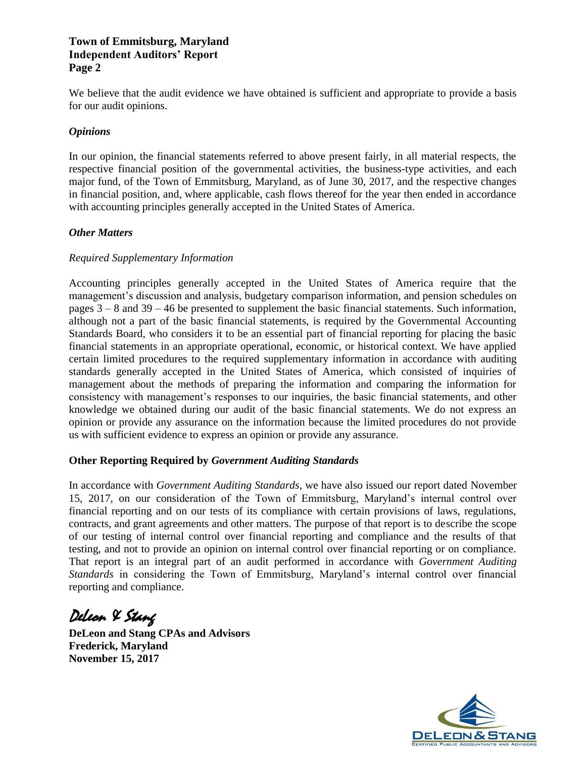### **Town of Emmitsburg, Maryland Independent Auditors' Report Page 2**

We believe that the audit evidence we have obtained is sufficient and appropriate to provide a basis for our audit opinions.

#### *Opinions*

In our opinion, the financial statements referred to above present fairly, in all material respects, the respective financial position of the governmental activities, the business-type activities, and each major fund, of the Town of Emmitsburg, Maryland, as of June 30, 2017, and the respective changes in financial position, and, where applicable, cash flows thereof for the year then ended in accordance with accounting principles generally accepted in the United States of America.

#### *Other Matters*

### *Required Supplementary Information*

Accounting principles generally accepted in the United States of America require that the management's discussion and analysis, budgetary comparison information, and pension schedules on pages  $3 - 8$  and  $39 - 46$  be presented to supplement the basic financial statements. Such information, although not a part of the basic financial statements, is required by the Governmental Accounting Standards Board, who considers it to be an essential part of financial reporting for placing the basic financial statements in an appropriate operational, economic, or historical context. We have applied certain limited procedures to the required supplementary information in accordance with auditing standards generally accepted in the United States of America, which consisted of inquiries of management about the methods of preparing the information and comparing the information for consistency with management's responses to our inquiries, the basic financial statements, and other knowledge we obtained during our audit of the basic financial statements. We do not express an opinion or provide any assurance on the information because the limited procedures do not provide us with sufficient evidence to express an opinion or provide any assurance.

### **Other Reporting Required by** *Government Auditing Standards*

In accordance with *Government Auditing Standards*, we have also issued our report dated November 15, 2017, on our consideration of the Town of Emmitsburg, Maryland's internal control over financial reporting and on our tests of its compliance with certain provisions of laws, regulations, contracts, and grant agreements and other matters. The purpose of that report is to describe the scope of our testing of internal control over financial reporting and compliance and the results of that testing, and not to provide an opinion on internal control over financial reporting or on compliance. That report is an integral part of an audit performed in accordance with *Government Auditing Standards* in considering the Town of Emmitsburg, Maryland's internal control over financial reporting and compliance.

DeLeon & Stang

**DeLeon and Stang CPAs and Advisors Frederick, Maryland November 15, 2017**

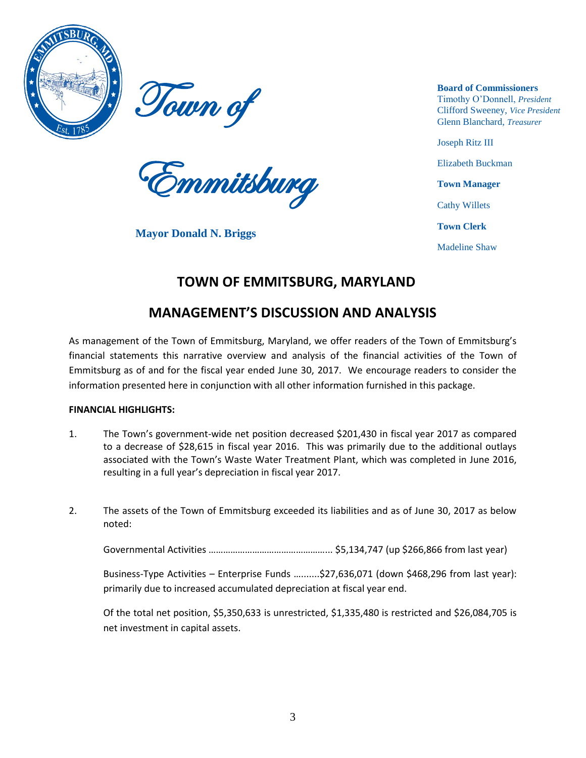

Town of



**Mayor Donald N. Briggs**

**Board of Commissioners**  Timothy O'Donnell, *President*  Clifford Sweeney, *Vice President*  Glenn Blanchard, *Treasurer* 

Joseph Ritz III

Elizabeth Buckman

**Town Manager**

Cathy Willets

**Town Clerk**

Madeline Shaw

# **TOWN OF EMMITSBURG, MARYLAND**

# **MANAGEMENT'S DISCUSSION AND ANALYSIS**

As management of the Town of Emmitsburg, Maryland, we offer readers of the Town of Emmitsburg's financial statements this narrative overview and analysis of the financial activities of the Town of Emmitsburg as of and for the fiscal year ended June 30, 2017. We encourage readers to consider the information presented here in conjunction with all other information furnished in this package.

#### **FINANCIAL HIGHLIGHTS:**

- 1. The Town's government-wide net position decreased \$201,430 in fiscal year 2017 as compared to a decrease of \$28,615 in fiscal year 2016. This was primarily due to the additional outlays associated with the Town's Waste Water Treatment Plant, which was completed in June 2016, resulting in a full year's depreciation in fiscal year 2017.
- 2. The assets of the Town of Emmitsburg exceeded its liabilities and as of June 30, 2017 as below noted:

Governmental Activities …………………………………………... \$5,134,747 (up \$266,866 from last year)

Business-Type Activities – Enterprise Funds ..........\$27,636,071 (down \$468,296 from last year): primarily due to increased accumulated depreciation at fiscal year end.

Of the total net position, \$5,350,633 is unrestricted, \$1,335,480 is restricted and \$26,084,705 is net investment in capital assets.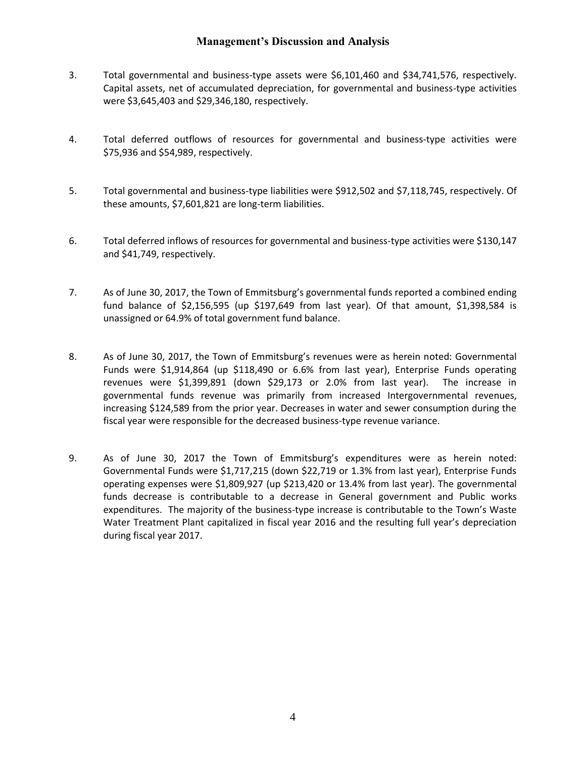- 3. Total governmental and business-type assets were \$6,101,460 and \$34,741,576, respectively. Capital assets, net of accumulated depreciation, for governmental and business-type activities were \$3,645,403 and \$29,346,180, respectively.
- 4. Total deferred outflows of resources for governmental and business-type activities were \$75,936 and \$54,989, respectively.
- 5. Total governmental and business-type liabilities were \$912,502 and \$7,118,745, respectively. Of these amounts, \$7,601,821 are long-term liabilities.
- 6. Total deferred inflows of resources for governmental and business-type activities were \$130,147 and \$41,749, respectively.
- 7. As of June 30, 2017, the Town of Emmitsburg's governmental funds reported a combined ending fund balance of \$2,156,595 (up \$197,649 from last year). Of that amount, \$1,398,584 is unassigned or 64.9% of total government fund balance.
- 8. As of June 30, 2017, the Town of Emmitsburg's revenues were as herein noted: Governmental Funds were \$1,914,864 (up \$118,490 or 6.6% from last year), Enterprise Funds operating revenues were \$1,399,891 (down \$29,173 or 2.0% from last year). The increase in governmental funds revenue was primarily from increased Intergovernmental revenues, increasing \$124,589 from the prior year. Decreases in water and sewer consumption during the fiscal year were responsible for the decreased business-type revenue variance.
- 9. As of June 30, 2017 the Town of Emmitsburg's expenditures were as herein noted: Governmental Funds were \$1,717,215 (down \$22,719 or 1.3% from last year), Enterprise Funds operating expenses were \$1,809,927 (up \$213,420 or 13.4% from last year). The governmental funds decrease is contributable to a decrease in General government and Public works expenditures. The majority of the business-type increase is contributable to the Town's Waste Water Treatment Plant capitalized in fiscal year 2016 and the resulting full year's depreciation during fiscal year 2017.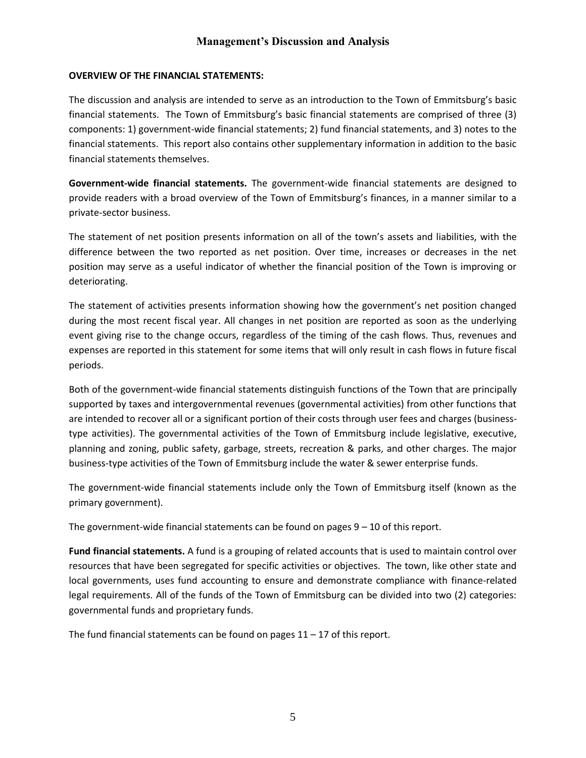#### **OVERVIEW OF THE FINANCIAL STATEMENTS:**

The discussion and analysis are intended to serve as an introduction to the Town of Emmitsburg's basic financial statements. The Town of Emmitsburg's basic financial statements are comprised of three (3) components: 1) government-wide financial statements; 2) fund financial statements, and 3) notes to the financial statements. This report also contains other supplementary information in addition to the basic financial statements themselves.

**Government-wide financial statements.** The government-wide financial statements are designed to provide readers with a broad overview of the Town of Emmitsburg's finances, in a manner similar to a private-sector business.

The statement of net position presents information on all of the town's assets and liabilities, with the difference between the two reported as net position. Over time, increases or decreases in the net position may serve as a useful indicator of whether the financial position of the Town is improving or deteriorating.

The statement of activities presents information showing how the government's net position changed during the most recent fiscal year. All changes in net position are reported as soon as the underlying event giving rise to the change occurs, regardless of the timing of the cash flows. Thus, revenues and expenses are reported in this statement for some items that will only result in cash flows in future fiscal periods.

Both of the government-wide financial statements distinguish functions of the Town that are principally supported by taxes and intergovernmental revenues (governmental activities) from other functions that are intended to recover all or a significant portion of their costs through user fees and charges (businesstype activities). The governmental activities of the Town of Emmitsburg include legislative, executive, planning and zoning, public safety, garbage, streets, recreation & parks, and other charges. The major business-type activities of the Town of Emmitsburg include the water & sewer enterprise funds.

The government-wide financial statements include only the Town of Emmitsburg itself (known as the primary government).

The government-wide financial statements can be found on pages  $9 - 10$  of this report.

**Fund financial statements.** A fund is a grouping of related accounts that is used to maintain control over resources that have been segregated for specific activities or objectives. The town, like other state and local governments, uses fund accounting to ensure and demonstrate compliance with finance-related legal requirements. All of the funds of the Town of Emmitsburg can be divided into two (2) categories: governmental funds and proprietary funds.

The fund financial statements can be found on pages  $11 - 17$  of this report.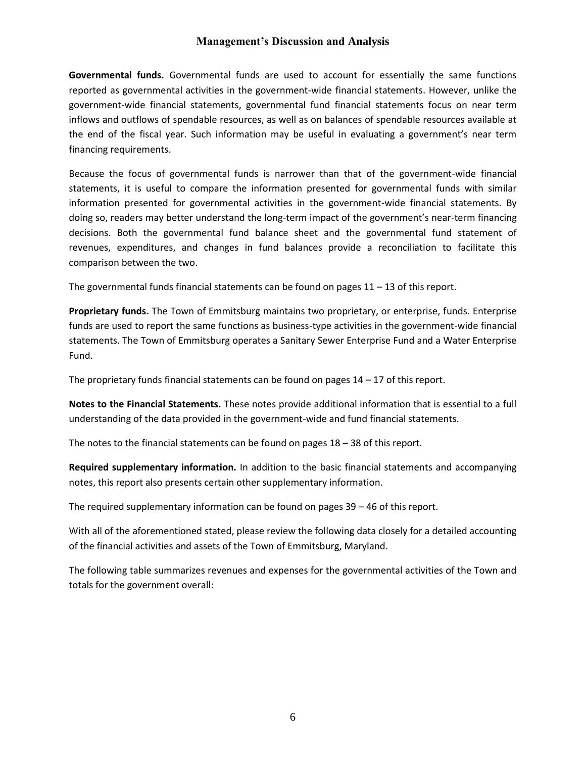**Governmental funds.** Governmental funds are used to account for essentially the same functions reported as governmental activities in the government-wide financial statements. However, unlike the government-wide financial statements, governmental fund financial statements focus on near term inflows and outflows of spendable resources, as well as on balances of spendable resources available at the end of the fiscal year. Such information may be useful in evaluating a government's near term financing requirements.

Because the focus of governmental funds is narrower than that of the government-wide financial statements, it is useful to compare the information presented for governmental funds with similar information presented for governmental activities in the government-wide financial statements. By doing so, readers may better understand the long-term impact of the government's near-term financing decisions. Both the governmental fund balance sheet and the governmental fund statement of revenues, expenditures, and changes in fund balances provide a reconciliation to facilitate this comparison between the two.

The governmental funds financial statements can be found on pages  $11 - 13$  of this report.

**Proprietary funds.** The Town of Emmitsburg maintains two proprietary, or enterprise, funds. Enterprise funds are used to report the same functions as business-type activities in the government-wide financial statements. The Town of Emmitsburg operates a Sanitary Sewer Enterprise Fund and a Water Enterprise Fund.

The proprietary funds financial statements can be found on pages  $14 - 17$  of this report.

**Notes to the Financial Statements.** These notes provide additional information that is essential to a full understanding of the data provided in the government-wide and fund financial statements.

The notes to the financial statements can be found on pages 18 – 38 of this report.

**Required supplementary information.** In addition to the basic financial statements and accompanying notes, this report also presents certain other supplementary information.

The required supplementary information can be found on pages 39 – 46 of this report.

With all of the aforementioned stated, please review the following data closely for a detailed accounting of the financial activities and assets of the Town of Emmitsburg, Maryland.

The following table summarizes revenues and expenses for the governmental activities of the Town and totals for the government overall: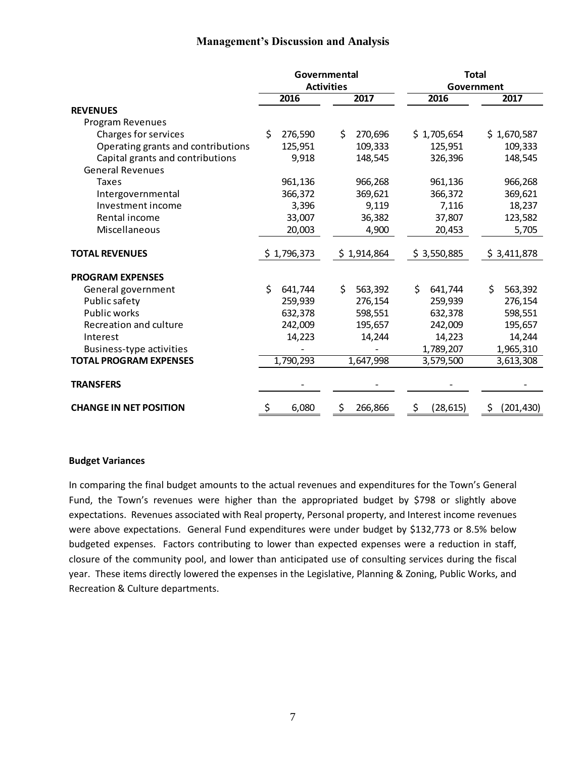|                                    | Governmental      |                | <b>Total</b><br>Government |                  |  |
|------------------------------------|-------------------|----------------|----------------------------|------------------|--|
|                                    | <b>Activities</b> |                |                            |                  |  |
|                                    | 2016              | 2017           | 2016                       | 2017             |  |
| <b>REVENUES</b>                    |                   |                |                            |                  |  |
| Program Revenues                   |                   |                |                            |                  |  |
| Charges for services               | \$<br>276,590     | \$.<br>270,696 | \$1,705,654                | \$1,670,587      |  |
| Operating grants and contributions | 125,951           | 109,333        | 125,951                    | 109,333          |  |
| Capital grants and contributions   | 9,918             | 148,545        | 326,396                    | 148,545          |  |
| <b>General Revenues</b>            |                   |                |                            |                  |  |
| <b>Taxes</b>                       | 961,136           | 966,268        | 961,136                    | 966,268          |  |
| Intergovernmental                  | 366,372           | 369,621        | 366,372                    | 369,621          |  |
| Investment income                  | 3,396             | 9,119          | 7,116                      | 18,237           |  |
| Rental income                      | 33,007            | 36,382         | 37,807                     | 123,582          |  |
| Miscellaneous                      | 20,003            | 4,900          | 20,453                     | 5,705            |  |
| <b>TOTAL REVENUES</b>              | \$1,796,373       | \$1,914,864    | \$3,550,885                | \$3,411,878      |  |
| <b>PROGRAM EXPENSES</b>            |                   |                |                            |                  |  |
| General government                 | \$<br>641,744     | \$.<br>563,392 | \$<br>641,744              | \$<br>563,392    |  |
| Public safety                      | 259,939           | 276,154        | 259,939                    | 276,154          |  |
| Public works                       | 632,378           | 598,551        | 632,378                    | 598,551          |  |
| Recreation and culture             | 242,009           | 195,657        | 242,009                    | 195,657          |  |
| Interest                           | 14,223            | 14,244         | 14,223                     | 14,244           |  |
| <b>Business-type activities</b>    |                   |                | 1,789,207                  | 1,965,310        |  |
| <b>TOTAL PROGRAM EXPENSES</b>      | 1,790,293         | 1,647,998      | 3,579,500                  | 3,613,308        |  |
| <b>TRANSFERS</b>                   |                   |                |                            |                  |  |
| <b>CHANGE IN NET POSITION</b>      | \$<br>6,080       | \$<br>266,866  | \$<br>(28, 615)            | \$<br>(201, 430) |  |

#### **Budget Variances**

In comparing the final budget amounts to the actual revenues and expenditures for the Town's General Fund, the Town's revenues were higher than the appropriated budget by \$798 or slightly above expectations. Revenues associated with Real property, Personal property, and Interest income revenues were above expectations. General Fund expenditures were under budget by \$132,773 or 8.5% below budgeted expenses. Factors contributing to lower than expected expenses were a reduction in staff, closure of the community pool, and lower than anticipated use of consulting services during the fiscal year. These items directly lowered the expenses in the Legislative, Planning & Zoning, Public Works, and Recreation & Culture departments.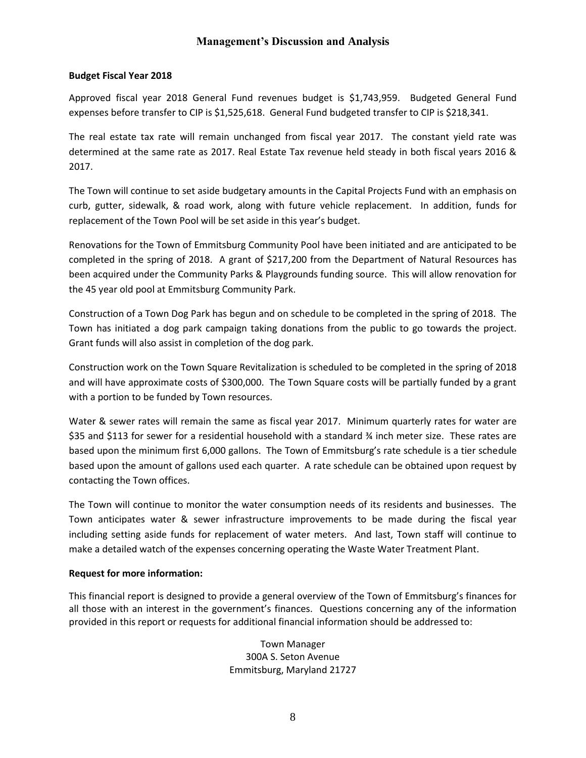#### **Budget Fiscal Year 2018**

Approved fiscal year 2018 General Fund revenues budget is \$1,743,959. Budgeted General Fund expenses before transfer to CIP is \$1,525,618. General Fund budgeted transfer to CIP is \$218,341.

The real estate tax rate will remain unchanged from fiscal year 2017. The constant yield rate was determined at the same rate as 2017. Real Estate Tax revenue held steady in both fiscal years 2016 & 2017.

The Town will continue to set aside budgetary amounts in the Capital Projects Fund with an emphasis on curb, gutter, sidewalk, & road work, along with future vehicle replacement. In addition, funds for replacement of the Town Pool will be set aside in this year's budget.

Renovations for the Town of Emmitsburg Community Pool have been initiated and are anticipated to be completed in the spring of 2018. A grant of \$217,200 from the Department of Natural Resources has been acquired under the Community Parks & Playgrounds funding source. This will allow renovation for the 45 year old pool at Emmitsburg Community Park.

Construction of a Town Dog Park has begun and on schedule to be completed in the spring of 2018. The Town has initiated a dog park campaign taking donations from the public to go towards the project. Grant funds will also assist in completion of the dog park.

Construction work on the Town Square Revitalization is scheduled to be completed in the spring of 2018 and will have approximate costs of \$300,000. The Town Square costs will be partially funded by a grant with a portion to be funded by Town resources.

Water & sewer rates will remain the same as fiscal year 2017. Minimum quarterly rates for water are \$35 and \$113 for sewer for a residential household with a standard ¾ inch meter size. These rates are based upon the minimum first 6,000 gallons. The Town of Emmitsburg's rate schedule is a tier schedule based upon the amount of gallons used each quarter. A rate schedule can be obtained upon request by contacting the Town offices.

The Town will continue to monitor the water consumption needs of its residents and businesses. The Town anticipates water & sewer infrastructure improvements to be made during the fiscal year including setting aside funds for replacement of water meters. And last, Town staff will continue to make a detailed watch of the expenses concerning operating the Waste Water Treatment Plant.

#### **Request for more information:**

This financial report is designed to provide a general overview of the Town of Emmitsburg's finances for all those with an interest in the government's finances. Questions concerning any of the information provided in this report or requests for additional financial information should be addressed to:

> Town Manager 300A S. Seton Avenue Emmitsburg, Maryland 21727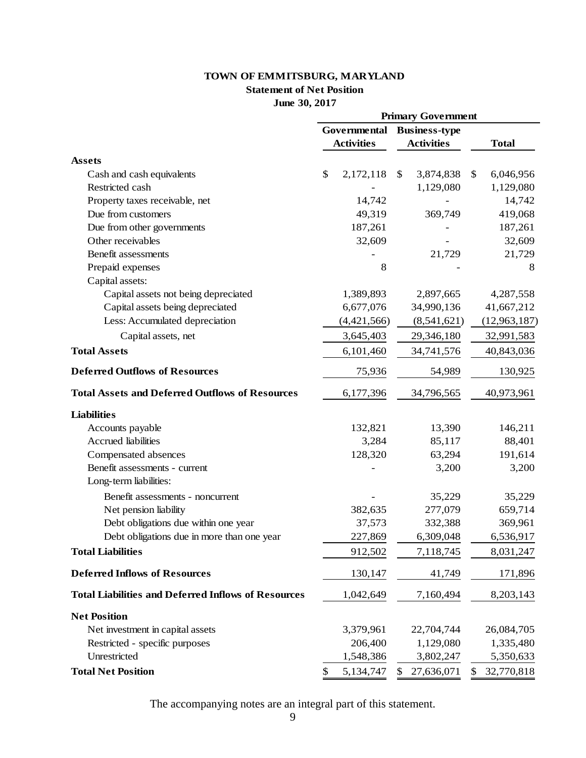### **TOWN OF EMMITSBURG, MARYLAND Statement of Net Position June 30, 2017**

|                                                            | <b>Primary Government</b> |             |                      |             |    |                |
|------------------------------------------------------------|---------------------------|-------------|----------------------|-------------|----|----------------|
|                                                            | Governmental              |             | <b>Business-type</b> |             |    |                |
|                                                            | <b>Activities</b>         |             | <b>Activities</b>    |             |    | <b>Total</b>   |
| <b>Assets</b>                                              |                           |             |                      |             |    |                |
| Cash and cash equivalents                                  | \$                        | 2,172,118   | $\mathcal{L}$        | 3,874,838   | \$ | 6,046,956      |
| Restricted cash                                            |                           |             |                      | 1,129,080   |    | 1,129,080      |
| Property taxes receivable, net                             |                           | 14,742      |                      |             |    | 14,742         |
| Due from customers                                         |                           | 49,319      |                      | 369,749     |    | 419,068        |
| Due from other governments                                 |                           | 187,261     |                      |             |    | 187,261        |
| Other receivables                                          |                           | 32,609      |                      |             |    | 32,609         |
| Benefit assessments                                        |                           |             |                      | 21,729      |    | 21,729         |
| Prepaid expenses                                           |                           | 8           |                      |             |    | 8              |
| Capital assets:                                            |                           |             |                      |             |    |                |
| Capital assets not being depreciated                       |                           | 1,389,893   |                      | 2,897,665   |    | 4,287,558      |
| Capital assets being depreciated                           |                           | 6,677,076   |                      | 34,990,136  |    | 41,667,212     |
| Less: Accumulated depreciation                             |                           | (4,421,566) |                      | (8,541,621) |    | (12, 963, 187) |
| Capital assets, net                                        |                           | 3,645,403   |                      | 29,346,180  |    | 32,991,583     |
| <b>Total Assets</b>                                        |                           | 6,101,460   |                      | 34,741,576  |    | 40,843,036     |
| <b>Deferred Outflows of Resources</b>                      |                           | 75,936      |                      | 54,989      |    | 130,925        |
| <b>Total Assets and Deferred Outflows of Resources</b>     |                           | 6,177,396   |                      | 34,796,565  |    | 40,973,961     |
| <b>Liabilities</b>                                         |                           |             |                      |             |    |                |
| Accounts payable                                           |                           | 132,821     |                      | 13,390      |    | 146,211        |
| <b>Accrued liabilities</b>                                 |                           | 3,284       |                      | 85,117      |    | 88,401         |
| Compensated absences                                       |                           | 128,320     |                      | 63,294      |    | 191,614        |
| Benefit assessments - current                              |                           |             | 3,200                |             |    | 3,200          |
| Long-term liabilities:                                     |                           |             |                      |             |    |                |
| Benefit assessments - noncurrent                           |                           |             |                      | 35,229      |    | 35,229         |
| Net pension liability                                      |                           | 382,635     |                      | 277,079     |    | 659,714        |
| Debt obligations due within one year                       |                           | 37,573      |                      | 332,388     |    | 369,961        |
| Debt obligations due in more than one year                 |                           | 227,869     |                      | 6,309,048   |    | 6,536,917      |
| <b>Total Liabilities</b>                                   |                           | 912,502     |                      | 7,118,745   |    | 8,031,247      |
| <b>Deferred Inflows of Resources</b>                       |                           | 130,147     |                      | 41,749      |    | 171,896        |
| <b>Total Liabilities and Deferred Inflows of Resources</b> |                           | 1,042,649   |                      | 7,160,494   |    | 8,203,143      |
| <b>Net Position</b>                                        |                           |             |                      |             |    |                |
| Net investment in capital assets                           |                           | 3,379,961   |                      | 22,704,744  |    | 26,084,705     |
| Restricted - specific purposes                             |                           | 206,400     |                      | 1,129,080   |    | 1,335,480      |
| Unrestricted                                               |                           | 1,548,386   |                      | 3,802,247   |    | 5,350,633      |
| <b>Total Net Position</b>                                  | \$                        | 5,134,747   | $\mathbb{S}$         | 27,636,071  | \$ | 32,770,818     |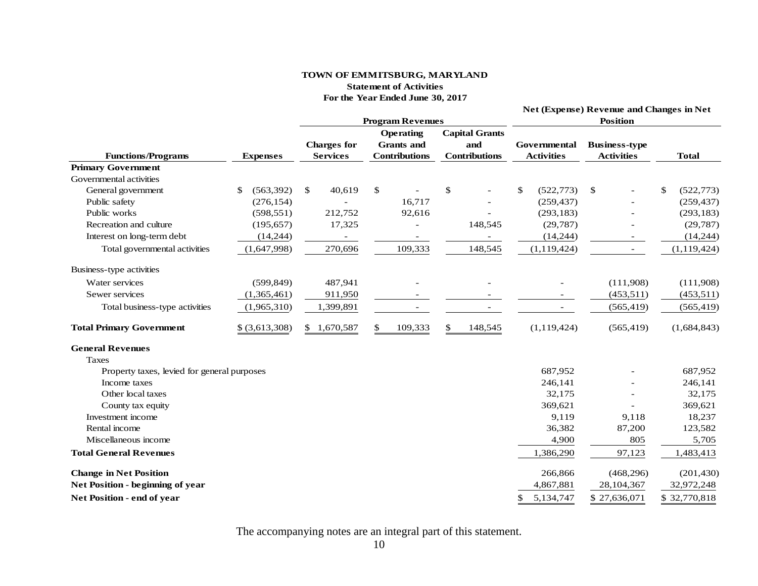## **TOWN OF EMMITSBURG, MARYLAND**

**Statement of Activities**

#### **For the Year Ended June 30, 2017**

|                                             |                  | <b>Program Revenues</b> |                          |                          | Net (Expense) Revenue and Changes in Net<br><b>Position</b> |                          |                  |
|---------------------------------------------|------------------|-------------------------|--------------------------|--------------------------|-------------------------------------------------------------|--------------------------|------------------|
|                                             |                  |                         | <b>Operating</b>         | <b>Capital Grants</b>    |                                                             |                          |                  |
|                                             |                  | <b>Charges for</b>      | <b>Grants</b> and        | and                      | Governmental                                                | <b>Business-type</b>     |                  |
| <b>Functions/Programs</b>                   | <b>Expenses</b>  | <b>Services</b>         | Contributions            | <b>Contributions</b>     | <b>Activities</b>                                           | <b>Activities</b>        | <b>Total</b>     |
| <b>Primary Government</b>                   |                  |                         |                          |                          |                                                             |                          |                  |
| Governmental activities                     |                  |                         |                          |                          |                                                             |                          |                  |
| General government                          | (563, 392)<br>\$ | \$<br>40,619            | \$                       | \$                       | \$<br>(522, 773)                                            | $\mathfrak{S}$           | \$<br>(522, 773) |
| Public safety                               | (276, 154)       |                         | 16,717                   |                          | (259, 437)                                                  |                          | (259, 437)       |
| Public works                                | (598, 551)       | 212,752                 | 92,616                   |                          | (293, 183)                                                  |                          | (293, 183)       |
| Recreation and culture                      | (195, 657)       | 17,325                  |                          | 148,545                  | (29, 787)                                                   |                          | (29, 787)        |
| Interest on long-term debt                  | (14, 244)        |                         |                          |                          | (14, 244)                                                   |                          | (14, 244)        |
| Total governmental activities               | (1,647,998)      | 270,696                 | 109,333                  | 148,545                  | (1, 119, 424)                                               | $\overline{\phantom{a}}$ | (1, 119, 424)    |
| Business-type activities                    |                  |                         |                          |                          |                                                             |                          |                  |
| Water services                              | (599, 849)       | 487,941                 |                          |                          |                                                             | (111,908)                | (111,908)        |
| Sewer services                              | (1,365,461)      | 911,950                 |                          |                          |                                                             | (453, 511)               | (453,511)        |
| Total business-type activities              | (1,965,310)      | 1,399,891               | $\overline{\phantom{a}}$ | $\overline{\phantom{a}}$ |                                                             | (565, 419)               | (565, 419)       |
| <b>Total Primary Government</b>             | $$$ (3,613,308)  | \$1,670,587             | 109,333<br>\$            | 148,545<br>\$            | (1, 119, 424)                                               | (565, 419)               | (1,684,843)      |
| <b>General Revenues</b>                     |                  |                         |                          |                          |                                                             |                          |                  |
| <b>Taxes</b>                                |                  |                         |                          |                          |                                                             |                          |                  |
| Property taxes, levied for general purposes |                  |                         |                          |                          | 687,952                                                     |                          | 687,952          |
| Income taxes                                |                  |                         |                          |                          | 246,141                                                     |                          | 246,141          |
| Other local taxes                           |                  |                         |                          |                          | 32,175                                                      |                          | 32,175           |
| County tax equity                           |                  |                         |                          |                          | 369,621                                                     |                          | 369,621          |
| Investment income                           |                  |                         |                          |                          | 9,119                                                       | 9,118                    | 18,237           |
| Rental income                               |                  |                         |                          |                          | 36,382                                                      | 87,200                   | 123,582          |
| Miscellaneous income                        |                  |                         |                          |                          | 4,900                                                       | 805                      | 5,705            |
| <b>Total General Revenues</b>               |                  |                         |                          |                          | 1,386,290                                                   | 97,123                   | 1,483,413        |
| <b>Change in Net Position</b>               |                  |                         |                          |                          | 266,866                                                     | (468, 296)               | (201, 430)       |
| Net Position - beginning of year            |                  |                         |                          |                          | 4,867,881                                                   | 28,104,367               | 32,972,248       |
| <b>Net Position - end of year</b>           |                  |                         |                          |                          | \$<br>5,134,747                                             | \$27,636,071             | \$32,770,818     |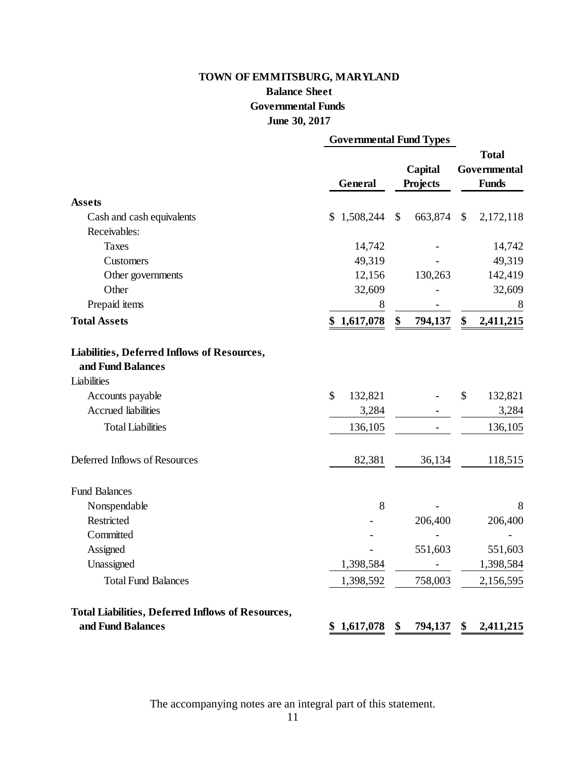## **TOWN OF EMMITSBURG, MARYLAND Balance Sheet Governmental Funds June 30, 2017**

|                                                                                 | <b>Governmental Fund Types</b> |                          |                                              |
|---------------------------------------------------------------------------------|--------------------------------|--------------------------|----------------------------------------------|
|                                                                                 | General                        | Capital<br>Projects      | <b>Total</b><br>Governmental<br><b>Funds</b> |
| <b>Assets</b>                                                                   |                                |                          |                                              |
| Cash and cash equivalents                                                       | \$1,508,244                    | $\mathcal{S}$<br>663,874 | 2,172,118<br>\$                              |
| Receivables:                                                                    |                                |                          |                                              |
| <b>Taxes</b>                                                                    | 14,742                         |                          | 14,742                                       |
| Customers                                                                       | 49,319                         |                          | 49,319                                       |
| Other governments                                                               | 12,156                         | 130,263                  | 142,419                                      |
| Other                                                                           | 32,609                         |                          | 32,609                                       |
| Prepaid items                                                                   | 8                              |                          | 8                                            |
| <b>Total Assets</b>                                                             | \$1,617,078                    | \$<br>794,137            | \$<br>2,411,215                              |
| Liabilities, Deferred Inflows of Resources,<br>and Fund Balances<br>Liabilities |                                |                          |                                              |
| Accounts payable                                                                | \$<br>132,821                  |                          | \$<br>132,821                                |
| Accrued liabilities                                                             | 3,284                          |                          | 3,284                                        |
| <b>Total Liabilities</b>                                                        | 136,105                        |                          | 136,105                                      |
| Deferred Inflows of Resources                                                   | 82,381                         | 36,134                   | 118,515                                      |
| <b>Fund Balances</b>                                                            |                                |                          |                                              |
| Nonspendable                                                                    | 8                              |                          | 8                                            |
| Restricted                                                                      |                                | 206,400                  | 206,400                                      |
| Committed                                                                       |                                |                          |                                              |
| Assigned                                                                        |                                | 551,603                  | 551,603                                      |
| Unassigned                                                                      | 1,398,584                      | -                        | 1,398,584                                    |
| <b>Total Fund Balances</b>                                                      | 1,398,592                      | 758,003                  | 2,156,595                                    |
| <b>Total Liabilities, Deferred Inflows of Resources,</b>                        |                                |                          |                                              |
| and Fund Balances                                                               | 1,617,078<br>\$                | 794,137<br>\$            | 2,411,215<br>\$                              |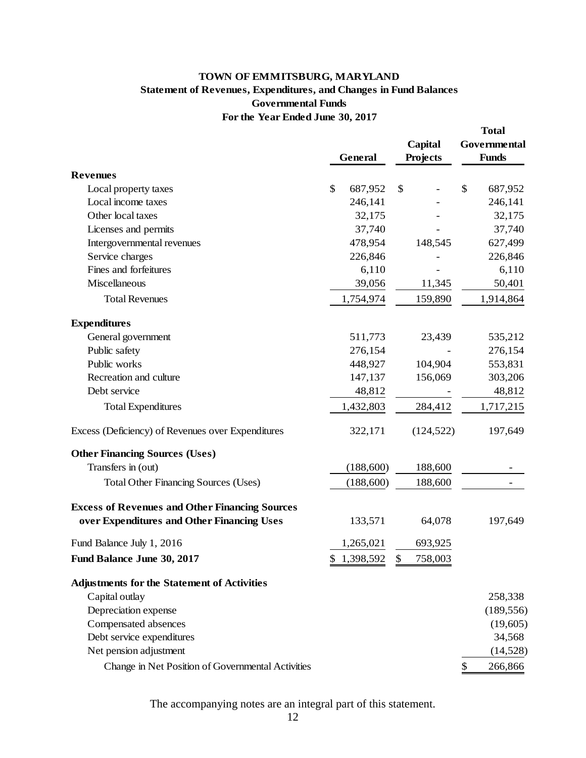### **TOWN OF EMMITSBURG, MARYLAND Statement of Revenues, Expenditures, and Changes in Fund Balances Governmental Funds For the Year Ended June 30, 2017**

|                                                       | General         | Capital<br>Projects | <b>Total</b><br>Governmental<br><b>Funds</b> |
|-------------------------------------------------------|-----------------|---------------------|----------------------------------------------|
| <b>Revenues</b>                                       |                 |                     |                                              |
| Local property taxes                                  | \$<br>687,952   | \$                  | \$<br>687,952                                |
| Local income taxes                                    | 246,141         |                     | 246,141                                      |
| Other local taxes                                     | 32,175          |                     | 32,175                                       |
| Licenses and permits                                  | 37,740          |                     | 37,740                                       |
| Intergovernmental revenues                            | 478,954         | 148,545             | 627,499                                      |
| Service charges                                       | 226,846         |                     | 226,846                                      |
| Fines and forfeitures                                 | 6,110           |                     | 6,110                                        |
| Miscellaneous                                         | 39,056          | 11,345              | 50,401                                       |
| <b>Total Revenues</b>                                 | 1,754,974       | 159,890             | 1,914,864                                    |
| <b>Expenditures</b>                                   |                 |                     |                                              |
| General government                                    | 511,773         | 23,439              | 535,212                                      |
| Public safety                                         | 276,154         |                     | 276,154                                      |
| Public works                                          | 448,927         | 104,904             | 553,831                                      |
| Recreation and culture                                | 147,137         | 156,069             | 303,206                                      |
| Debt service                                          | 48,812          |                     | 48,812                                       |
| <b>Total Expenditures</b>                             | 1,432,803       | 284,412             | 1,717,215                                    |
| Excess (Deficiency) of Revenues over Expenditures     | 322,171         | (124, 522)          | 197,649                                      |
| <b>Other Financing Sources (Uses)</b>                 |                 |                     |                                              |
| Transfers in (out)                                    | (188,600)       | 188,600             |                                              |
| <b>Total Other Financing Sources (Uses)</b>           | (188, 600)      | 188,600             |                                              |
| <b>Excess of Revenues and Other Financing Sources</b> |                 |                     |                                              |
| over Expenditures and Other Financing Uses            | 133,571         | 64,078              | 197,649                                      |
| Fund Balance July 1, 2016                             | 1,265,021       | 693,925             |                                              |
| Fund Balance June 30, 2017                            | \$<br>1,398,592 | \$<br>758,003       |                                              |
| <b>Adjustments for the Statement of Activities</b>    |                 |                     |                                              |
| Capital outlay                                        |                 |                     | 258,338                                      |
| Depreciation expense                                  |                 |                     | (189, 556)                                   |
| Compensated absences                                  |                 |                     | (19,605)                                     |
| Debt service expenditures                             |                 |                     | 34,568                                       |
| Net pension adjustment                                |                 |                     | (14, 528)                                    |
| Change in Net Position of Governmental Activities     |                 |                     | \$<br>266,866                                |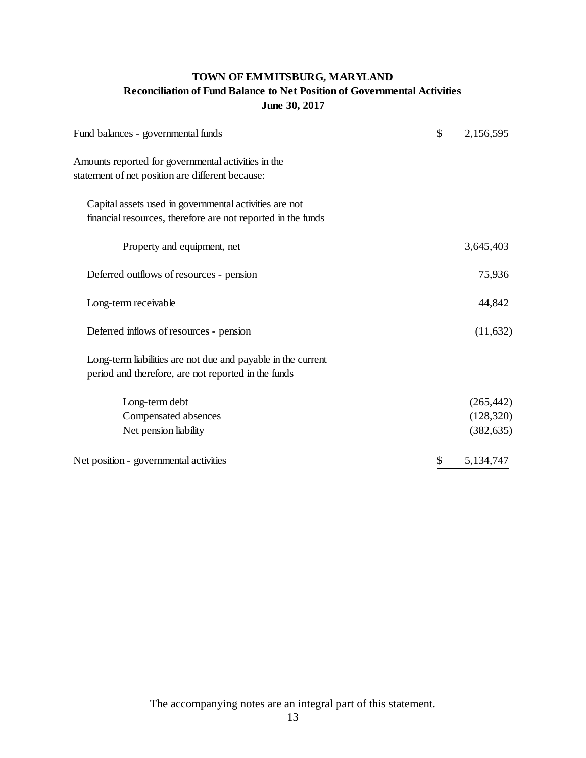## **TOWN OF EMMITSBURG, MARYLAND Reconciliation of Fund Balance to Net Position of Governmental Activities June 30, 2017**

| Fund balances - governmental funds                                                                                     | \$<br>2,156,595   |
|------------------------------------------------------------------------------------------------------------------------|-------------------|
| Amounts reported for governmental activities in the<br>statement of net position are different because:                |                   |
| Capital assets used in governmental activities are not<br>financial resources, therefore are not reported in the funds |                   |
| Property and equipment, net                                                                                            | 3,645,403         |
| Deferred outflows of resources - pension                                                                               | 75,936            |
| Long-term receivable                                                                                                   | 44,842            |
| Deferred inflows of resources - pension                                                                                | (11, 632)         |
| Long-term liabilities are not due and payable in the current<br>period and therefore, are not reported in the funds    |                   |
| Long-term debt                                                                                                         | (265, 442)        |
| Compensated absences                                                                                                   | (128, 320)        |
| Net pension liability                                                                                                  | (382, 635)        |
| Net position - governmental activities                                                                                 | \$<br>5, 134, 747 |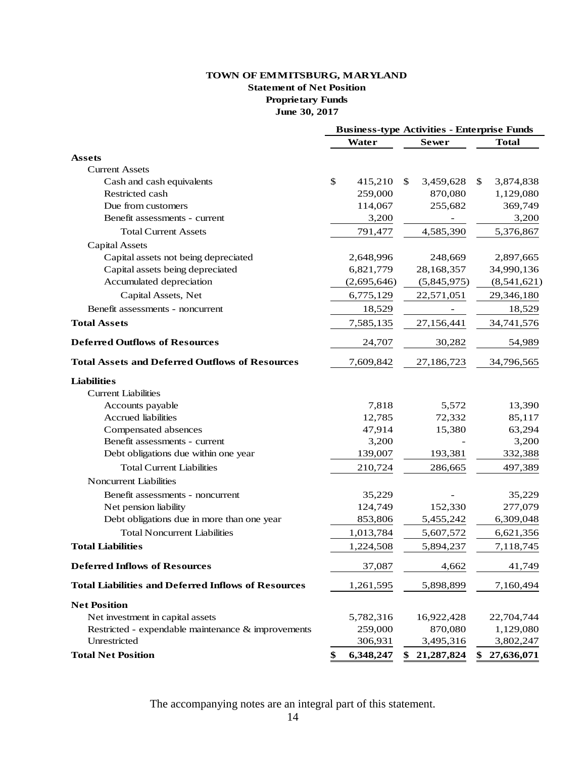#### **TOWN OF EMMITSBURG, MARYLAND Statement of Net Position Proprietary Funds June 30, 2017**

|                                                            | <b>Business-type Activities - Enterprise Funds</b> |             |    |              |    |              |
|------------------------------------------------------------|----------------------------------------------------|-------------|----|--------------|----|--------------|
|                                                            |                                                    | Water       |    | <b>Sewer</b> |    | <b>Total</b> |
| Assets                                                     |                                                    |             |    |              |    |              |
| <b>Current Assets</b>                                      |                                                    |             |    |              |    |              |
| Cash and cash equivalents                                  | \$                                                 | 415,210     | \$ | 3,459,628    | \$ | 3,874,838    |
| Restricted cash                                            |                                                    | 259,000     |    | 870,080      |    | 1,129,080    |
| Due from customers                                         |                                                    | 114,067     |    | 255,682      |    | 369,749      |
| Benefit assessments - current                              |                                                    | 3,200       |    |              |    | 3,200        |
| <b>Total Current Assets</b>                                |                                                    | 791,477     |    | 4,585,390    |    | 5,376,867    |
| <b>Capital Assets</b>                                      |                                                    |             |    |              |    |              |
| Capital assets not being depreciated                       |                                                    | 2,648,996   |    | 248,669      |    | 2,897,665    |
| Capital assets being depreciated                           |                                                    | 6,821,779   |    | 28,168,357   |    | 34,990,136   |
| Accumulated depreciation                                   |                                                    | (2,695,646) |    | (5,845,975)  |    | (8,541,621)  |
| Capital Assets, Net                                        |                                                    | 6,775,129   |    | 22,571,051   |    | 29,346,180   |
| Benefit assessments - noncurrent                           |                                                    | 18,529      |    |              |    | 18,529       |
| <b>Total Assets</b>                                        |                                                    | 7,585,135   |    | 27,156,441   |    | 34,741,576   |
| <b>Deferred Outflows of Resources</b>                      |                                                    | 24,707      |    | 30,282       |    | 54,989       |
| <b>Total Assets and Deferred Outflows of Resources</b>     |                                                    | 7,609,842   |    | 27,186,723   |    | 34,796,565   |
| <b>Liabilities</b>                                         |                                                    |             |    |              |    |              |
| <b>Current Liabilities</b>                                 |                                                    |             |    |              |    |              |
| Accounts payable                                           |                                                    | 7,818       |    | 5,572        |    | 13,390       |
| Accrued liabilities                                        |                                                    | 12,785      |    | 72,332       |    | 85,117       |
| Compensated absences                                       |                                                    | 47,914      |    | 15,380       |    | 63,294       |
| Benefit assessments - current                              |                                                    | 3,200       |    |              |    | 3,200        |
| Debt obligations due within one year                       |                                                    | 139,007     |    | 193,381      |    | 332,388      |
| <b>Total Current Liabilities</b>                           |                                                    | 210,724     |    | 286,665      |    | 497,389      |
| <b>Noncurrent Liabilities</b>                              |                                                    |             |    |              |    |              |
| Benefit assessments - noncurrent                           |                                                    | 35,229      |    |              |    | 35,229       |
| Net pension liability                                      |                                                    | 124,749     |    | 152,330      |    | 277,079      |
| Debt obligations due in more than one year                 |                                                    | 853,806     |    | 5,455,242    |    | 6,309,048    |
| <b>Total Noncurrent Liabilities</b>                        |                                                    | 1,013,784   |    | 5,607,572    |    | 6,621,356    |
| <b>Total Liabilities</b>                                   |                                                    | 1,224,508   |    | 5,894,237    |    | 7,118,745    |
| <b>Deferred Inflows of Resources</b>                       |                                                    | 37,087      |    | 4,662        |    | 41,749       |
| <b>Total Liabilities and Deferred Inflows of Resources</b> |                                                    | 1,261,595   |    | 5,898,899    |    | 7,160,494    |
| <b>Net Position</b>                                        |                                                    |             |    |              |    |              |
| Net investment in capital assets                           |                                                    | 5,782,316   |    | 16,922,428   |    | 22,704,744   |
| Restricted - expendable maintenance & improvements         |                                                    | 259,000     |    | 870,080      |    | 1,129,080    |
| Unrestricted                                               |                                                    | 306,931     |    | 3,495,316    |    | 3,802,247    |
| <b>Total Net Position</b>                                  | \$                                                 | 6,348,247   |    | \$21,287,824 |    | \$27,636,071 |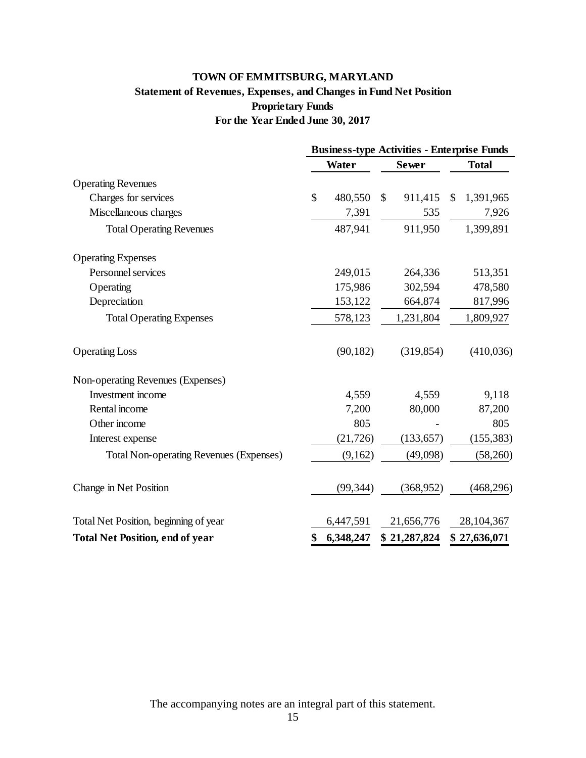## **TOWN OF EMMITSBURG, MARYLAND Statement of Revenues, Expenses, and Changes in Fund Net Position Proprietary Funds For the Year Ended June 30, 2017**

|                                                | <b>Business-type Activities - Enterprise Funds</b> |           |               |              |               |              |
|------------------------------------------------|----------------------------------------------------|-----------|---------------|--------------|---------------|--------------|
|                                                | Water                                              |           | <b>Sewer</b>  |              |               | <b>Total</b> |
| <b>Operating Revenues</b>                      |                                                    |           |               |              |               |              |
| Charges for services                           | \$                                                 | 480,550   | $\mathcal{S}$ | 911,415      | <sup>\$</sup> | 1,391,965    |
| Miscellaneous charges                          |                                                    | 7,391     |               | 535          |               | 7,926        |
| <b>Total Operating Revenues</b>                |                                                    | 487,941   |               | 911,950      |               | 1,399,891    |
| <b>Operating Expenses</b>                      |                                                    |           |               |              |               |              |
| Personnel services                             |                                                    | 249,015   |               | 264,336      |               | 513,351      |
| Operating                                      |                                                    | 175,986   |               | 302,594      |               | 478,580      |
| Depreciation                                   |                                                    | 153,122   |               | 664,874      |               | 817,996      |
| <b>Total Operating Expenses</b>                |                                                    | 578,123   |               | 1,231,804    |               | 1,809,927    |
| <b>Operating Loss</b>                          |                                                    | (90, 182) |               | (319, 854)   |               | (410, 036)   |
| Non-operating Revenues (Expenses)              |                                                    |           |               |              |               |              |
| Investment income                              |                                                    | 4,559     |               | 4,559        |               | 9,118        |
| Rental income                                  |                                                    | 7,200     |               | 80,000       |               | 87,200       |
| Other income                                   |                                                    | 805       |               |              |               | 805          |
| Interest expense                               |                                                    | (21, 726) |               | (133, 657)   |               | (155, 383)   |
| <b>Total Non-operating Revenues (Expenses)</b> |                                                    | (9,162)   |               | (49,098)     |               | (58,260)     |
| Change in Net Position                         |                                                    | (99, 344) |               | (368, 952)   |               | (468, 296)   |
| Total Net Position, beginning of year          |                                                    | 6,447,591 |               | 21,656,776   |               | 28,104,367   |
| <b>Total Net Position, end of year</b>         | \$                                                 | 6,348,247 |               | \$21,287,824 |               | 27,636,071   |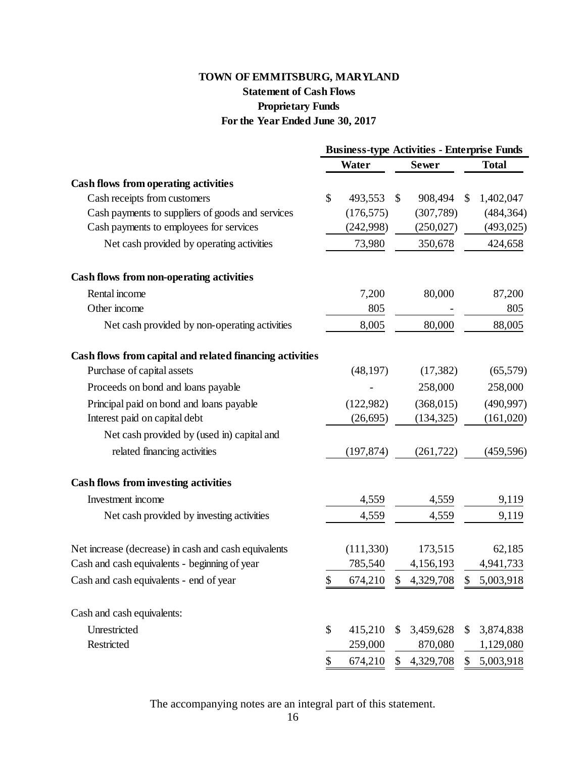## **For the Year Ended June 30, 2017 TOWN OF EMMITSBURG, MARYLAND Statement of Cash Flows Proprietary Funds**

|                                                          | <b>Business-type Activities - Enterprise Funds</b> |            |    |              |    |              |
|----------------------------------------------------------|----------------------------------------------------|------------|----|--------------|----|--------------|
|                                                          |                                                    | Water      |    | <b>Sewer</b> |    | <b>Total</b> |
| <b>Cash flows from operating activities</b>              |                                                    |            |    |              |    |              |
| Cash receipts from customers                             | \$                                                 | 493,553    | \$ | 908,494      | \$ | 1,402,047    |
| Cash payments to suppliers of goods and services         |                                                    | (176, 575) |    | (307,789)    |    | (484, 364)   |
| Cash payments to employees for services                  |                                                    | (242,998)  |    | (250, 027)   |    | (493, 025)   |
| Net cash provided by operating activities                |                                                    | 73,980     |    | 350,678      |    | 424,658      |
| <b>Cash flows from non-operating activities</b>          |                                                    |            |    |              |    |              |
| Rental income                                            |                                                    | 7,200      |    | 80,000       |    | 87,200       |
| Other income                                             |                                                    | 805        |    |              |    | 805          |
| Net cash provided by non-operating activities            |                                                    | 8,005      |    | 80,000       |    | 88,005       |
| Cash flows from capital and related financing activities |                                                    |            |    |              |    |              |
| Purchase of capital assets                               |                                                    | (48, 197)  |    | (17, 382)    |    | (65, 579)    |
| Proceeds on bond and loans payable                       |                                                    |            |    | 258,000      |    | 258,000      |
| Principal paid on bond and loans payable                 |                                                    | (122,982)  |    | (368, 015)   |    | (490, 997)   |
| Interest paid on capital debt                            |                                                    | (26, 695)  |    | (134, 325)   |    | (161,020)    |
| Net cash provided by (used in) capital and               |                                                    |            |    |              |    |              |
| related financing activities                             |                                                    | (197, 874) |    | (261, 722)   |    | (459, 596)   |
| <b>Cash flows from investing activities</b>              |                                                    |            |    |              |    |              |
| Investment income                                        |                                                    | 4,559      |    | 4,559        |    | 9,119        |
| Net cash provided by investing activities                |                                                    | 4,559      |    | 4,559        |    | 9,119        |
| Net increase (decrease) in cash and cash equivalents     |                                                    | (111, 330) |    | 173,515      |    | 62,185       |
| Cash and cash equivalents - beginning of year            |                                                    | 785,540    |    | 4,156,193    |    | 4,941,733    |
| Cash and cash equivalents - end of year                  | \$                                                 | 674,210    | \$ | 4,329,708    | \$ | 5,003,918    |
| Cash and cash equivalents:                               |                                                    |            |    |              |    |              |
| Unrestricted                                             | \$                                                 | 415,210    | \$ | 3,459,628    | \$ | 3,874,838    |
| Restricted                                               |                                                    | 259,000    |    | 870,080      |    | 1,129,080    |
|                                                          | \$                                                 | 674,210    | \$ | 4,329,708    | \$ | 5,003,918    |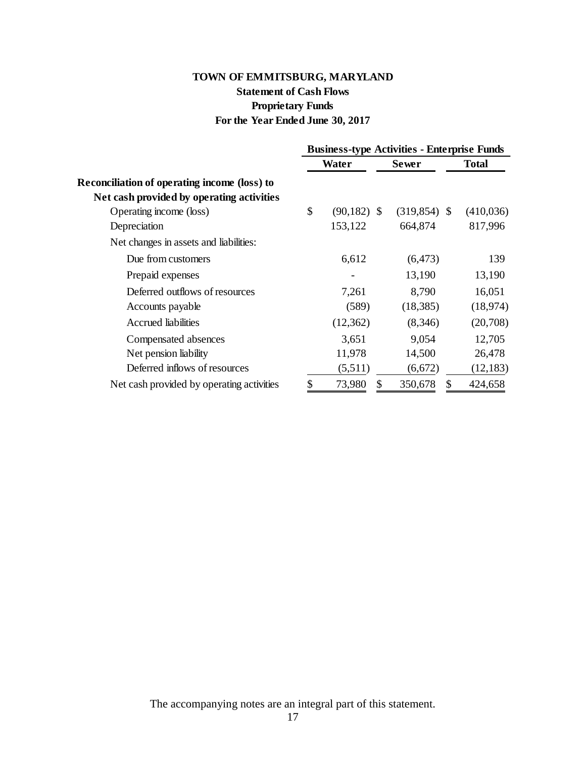## **For the Year Ended June 30, 2017 TOWN OF EMMITSBURG, MARYLAND Statement of Cash Flows Proprietary Funds**

|                                              | <b>Business-type Activities - Enterprise Funds</b> |               |                 |              |
|----------------------------------------------|----------------------------------------------------|---------------|-----------------|--------------|
|                                              |                                                    | Water         | Sewer           | <b>Total</b> |
| Reconciliation of operating income (loss) to |                                                    |               |                 |              |
| Net cash provided by operating activities    |                                                    |               |                 |              |
| Operating income (loss)                      | \$                                                 | $(90,182)$ \$ | $(319, 854)$ \$ | (410,036)    |
| Depreciation                                 |                                                    | 153,122       | 664,874         | 817,996      |
| Net changes in assets and liabilities:       |                                                    |               |                 |              |
| Due from customers                           |                                                    | 6,612         | (6, 473)        | 139          |
| Prepaid expenses                             |                                                    |               | 13,190          | 13,190       |
| Deferred outflows of resources               |                                                    | 7,261         | 8,790           | 16,051       |
| Accounts payable                             |                                                    | (589)         | (18, 385)       | (18,974)     |
| Accrued liabilities                          |                                                    | (12, 362)     | (8,346)         | (20,708)     |
| Compensated absences                         |                                                    | 3,651         | 9,054           | 12,705       |
| Net pension liability                        |                                                    | 11,978        | 14,500          | 26,478       |
| Deferred inflows of resources                |                                                    | (5,511)       | (6,672)         | (12, 183)    |
| Net cash provided by operating activities    | \$                                                 | 73,980<br>\$  | 350,678<br>\$   | 424,658      |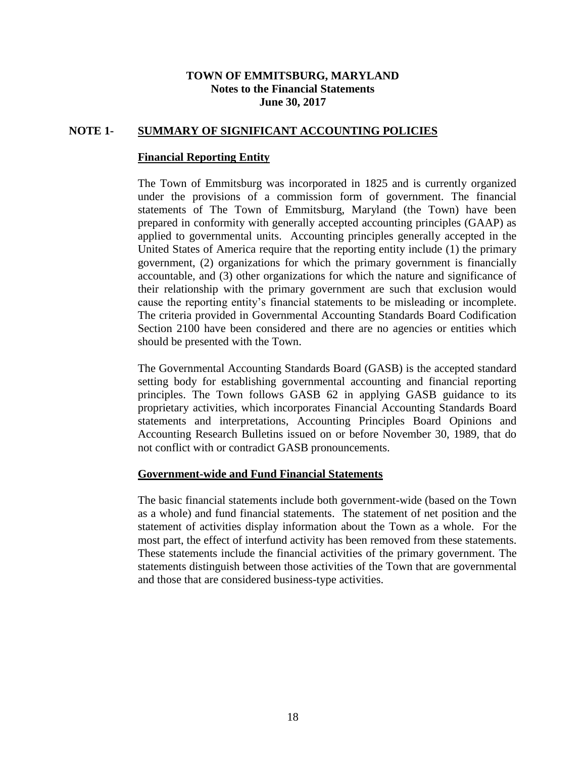#### **NOTE 1- SUMMARY OF SIGNIFICANT ACCOUNTING POLICIES**

#### **Financial Reporting Entity**

The Town of Emmitsburg was incorporated in 1825 and is currently organized under the provisions of a commission form of government. The financial statements of The Town of Emmitsburg, Maryland (the Town) have been prepared in conformity with generally accepted accounting principles (GAAP) as applied to governmental units. Accounting principles generally accepted in the United States of America require that the reporting entity include (1) the primary government, (2) organizations for which the primary government is financially accountable, and (3) other organizations for which the nature and significance of their relationship with the primary government are such that exclusion would cause the reporting entity's financial statements to be misleading or incomplete. The criteria provided in Governmental Accounting Standards Board Codification Section 2100 have been considered and there are no agencies or entities which should be presented with the Town.

The Governmental Accounting Standards Board (GASB) is the accepted standard setting body for establishing governmental accounting and financial reporting principles. The Town follows GASB 62 in applying GASB guidance to its proprietary activities, which incorporates Financial Accounting Standards Board statements and interpretations, Accounting Principles Board Opinions and Accounting Research Bulletins issued on or before November 30, 1989, that do not conflict with or contradict GASB pronouncements.

#### **Government-wide and Fund Financial Statements**

The basic financial statements include both government-wide (based on the Town as a whole) and fund financial statements. The statement of net position and the statement of activities display information about the Town as a whole. For the most part, the effect of interfund activity has been removed from these statements. These statements include the financial activities of the primary government. The statements distinguish between those activities of the Town that are governmental and those that are considered business-type activities.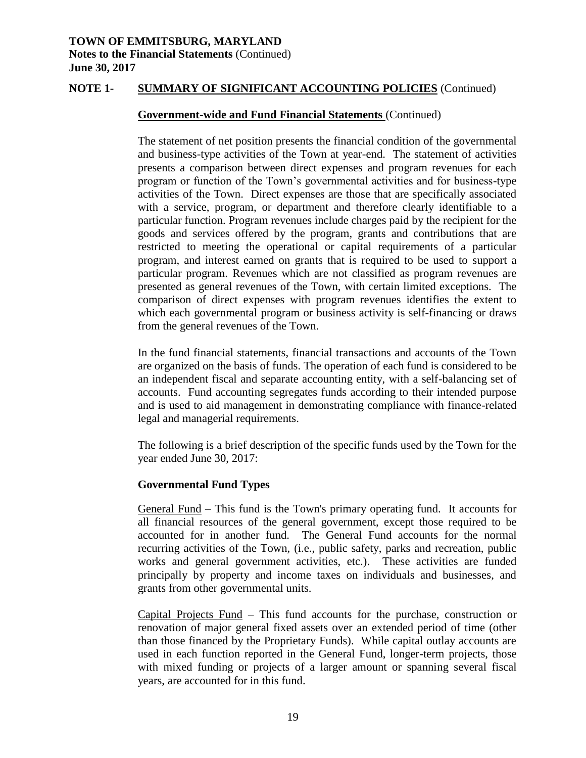#### **Government-wide and Fund Financial Statements** (Continued)

The statement of net position presents the financial condition of the governmental and business-type activities of the Town at year-end. The statement of activities presents a comparison between direct expenses and program revenues for each program or function of the Town's governmental activities and for business-type activities of the Town. Direct expenses are those that are specifically associated with a service, program, or department and therefore clearly identifiable to a particular function. Program revenues include charges paid by the recipient for the goods and services offered by the program, grants and contributions that are restricted to meeting the operational or capital requirements of a particular program, and interest earned on grants that is required to be used to support a particular program. Revenues which are not classified as program revenues are presented as general revenues of the Town, with certain limited exceptions. The comparison of direct expenses with program revenues identifies the extent to which each governmental program or business activity is self-financing or draws from the general revenues of the Town.

In the fund financial statements, financial transactions and accounts of the Town are organized on the basis of funds. The operation of each fund is considered to be an independent fiscal and separate accounting entity, with a self-balancing set of accounts. Fund accounting segregates funds according to their intended purpose and is used to aid management in demonstrating compliance with finance-related legal and managerial requirements.

The following is a brief description of the specific funds used by the Town for the year ended June 30, 2017:

#### **Governmental Fund Types**

General Fund – This fund is the Town's primary operating fund. It accounts for all financial resources of the general government, except those required to be accounted for in another fund. The General Fund accounts for the normal recurring activities of the Town, (i.e., public safety, parks and recreation, public works and general government activities, etc.). These activities are funded principally by property and income taxes on individuals and businesses, and grants from other governmental units.

Capital Projects Fund – This fund accounts for the purchase, construction or renovation of major general fixed assets over an extended period of time (other than those financed by the Proprietary Funds). While capital outlay accounts are used in each function reported in the General Fund, longer-term projects, those with mixed funding or projects of a larger amount or spanning several fiscal years, are accounted for in this fund.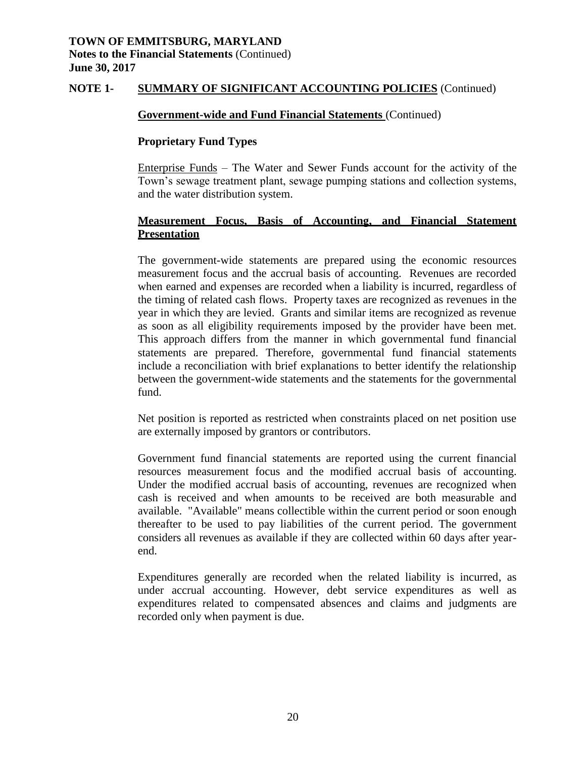#### **Government-wide and Fund Financial Statements** (Continued)

#### **Proprietary Fund Types**

Enterprise Funds – The Water and Sewer Funds account for the activity of the Town's sewage treatment plant, sewage pumping stations and collection systems, and the water distribution system.

### **Measurement Focus, Basis of Accounting, and Financial Statement Presentation**

The government-wide statements are prepared using the economic resources measurement focus and the accrual basis of accounting. Revenues are recorded when earned and expenses are recorded when a liability is incurred, regardless of the timing of related cash flows. Property taxes are recognized as revenues in the year in which they are levied. Grants and similar items are recognized as revenue as soon as all eligibility requirements imposed by the provider have been met. This approach differs from the manner in which governmental fund financial statements are prepared. Therefore, governmental fund financial statements include a reconciliation with brief explanations to better identify the relationship between the government-wide statements and the statements for the governmental fund.

Net position is reported as restricted when constraints placed on net position use are externally imposed by grantors or contributors.

Government fund financial statements are reported using the current financial resources measurement focus and the modified accrual basis of accounting. Under the modified accrual basis of accounting, revenues are recognized when cash is received and when amounts to be received are both measurable and available. "Available" means collectible within the current period or soon enough thereafter to be used to pay liabilities of the current period. The government considers all revenues as available if they are collected within 60 days after yearend.

Expenditures generally are recorded when the related liability is incurred, as under accrual accounting. However, debt service expenditures as well as expenditures related to compensated absences and claims and judgments are recorded only when payment is due.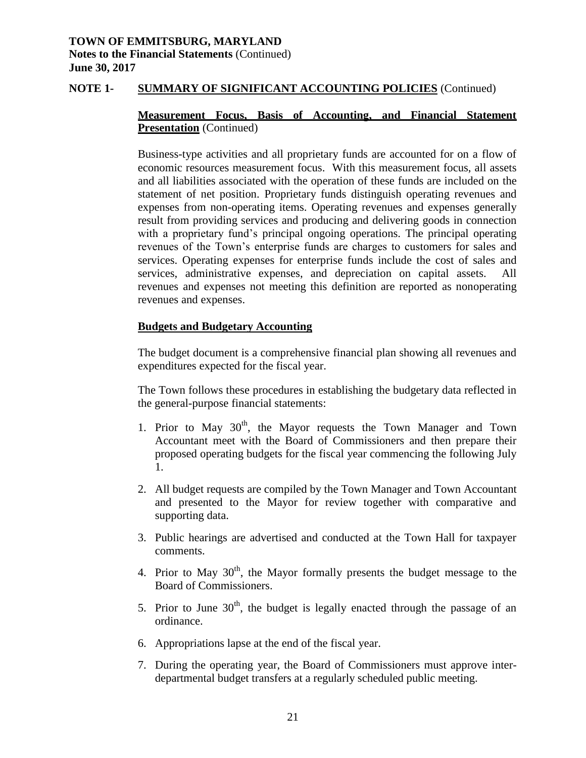### **NOTE 1- SUMMARY OF SIGNIFICANT ACCOUNTING POLICIES** (Continued)

### **Measurement Focus, Basis of Accounting, and Financial Statement Presentation** (Continued)

Business-type activities and all proprietary funds are accounted for on a flow of economic resources measurement focus. With this measurement focus, all assets and all liabilities associated with the operation of these funds are included on the statement of net position. Proprietary funds distinguish operating revenues and expenses from non-operating items. Operating revenues and expenses generally result from providing services and producing and delivering goods in connection with a proprietary fund's principal ongoing operations. The principal operating revenues of the Town's enterprise funds are charges to customers for sales and services. Operating expenses for enterprise funds include the cost of sales and services, administrative expenses, and depreciation on capital assets. All revenues and expenses not meeting this definition are reported as nonoperating revenues and expenses.

#### **Budgets and Budgetary Accounting**

The budget document is a comprehensive financial plan showing all revenues and expenditures expected for the fiscal year.

The Town follows these procedures in establishing the budgetary data reflected in the general-purpose financial statements:

- 1. Prior to May  $30<sup>th</sup>$ , the Mayor requests the Town Manager and Town Accountant meet with the Board of Commissioners and then prepare their proposed operating budgets for the fiscal year commencing the following July 1.
- 2. All budget requests are compiled by the Town Manager and Town Accountant and presented to the Mayor for review together with comparative and supporting data.
- 3. Public hearings are advertised and conducted at the Town Hall for taxpayer comments.
- 4. Prior to May  $30<sup>th</sup>$ , the Mayor formally presents the budget message to the Board of Commissioners.
- 5. Prior to June  $30<sup>th</sup>$ , the budget is legally enacted through the passage of an ordinance.
- 6. Appropriations lapse at the end of the fiscal year.
- 7. During the operating year, the Board of Commissioners must approve interdepartmental budget transfers at a regularly scheduled public meeting.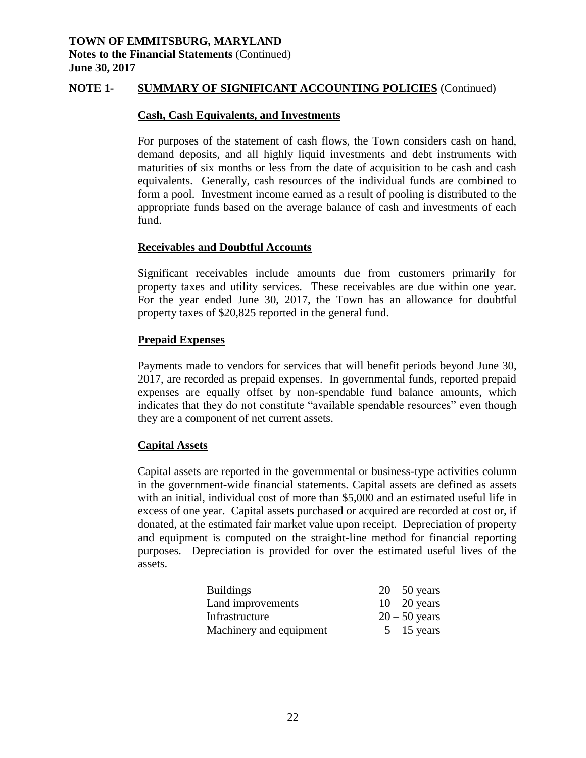#### **Cash, Cash Equivalents, and Investments**

For purposes of the statement of cash flows, the Town considers cash on hand, demand deposits, and all highly liquid investments and debt instruments with maturities of six months or less from the date of acquisition to be cash and cash equivalents. Generally, cash resources of the individual funds are combined to form a pool. Investment income earned as a result of pooling is distributed to the appropriate funds based on the average balance of cash and investments of each fund.

#### **Receivables and Doubtful Accounts**

Significant receivables include amounts due from customers primarily for property taxes and utility services. These receivables are due within one year. For the year ended June 30, 2017, the Town has an allowance for doubtful property taxes of \$20,825 reported in the general fund.

#### **Prepaid Expenses**

Payments made to vendors for services that will benefit periods beyond June 30, 2017, are recorded as prepaid expenses. In governmental funds, reported prepaid expenses are equally offset by non-spendable fund balance amounts, which indicates that they do not constitute "available spendable resources" even though they are a component of net current assets.

#### **Capital Assets**

Capital assets are reported in the governmental or business-type activities column in the government-wide financial statements. Capital assets are defined as assets with an initial, individual cost of more than \$5,000 and an estimated useful life in excess of one year. Capital assets purchased or acquired are recorded at cost or, if donated, at the estimated fair market value upon receipt. Depreciation of property and equipment is computed on the straight-line method for financial reporting purposes. Depreciation is provided for over the estimated useful lives of the assets.

| <b>Buildings</b>        | $20 - 50$ years |
|-------------------------|-----------------|
| Land improvements       | $10 - 20$ years |
| Infrastructure          | $20 - 50$ years |
| Machinery and equipment | $5 - 15$ years  |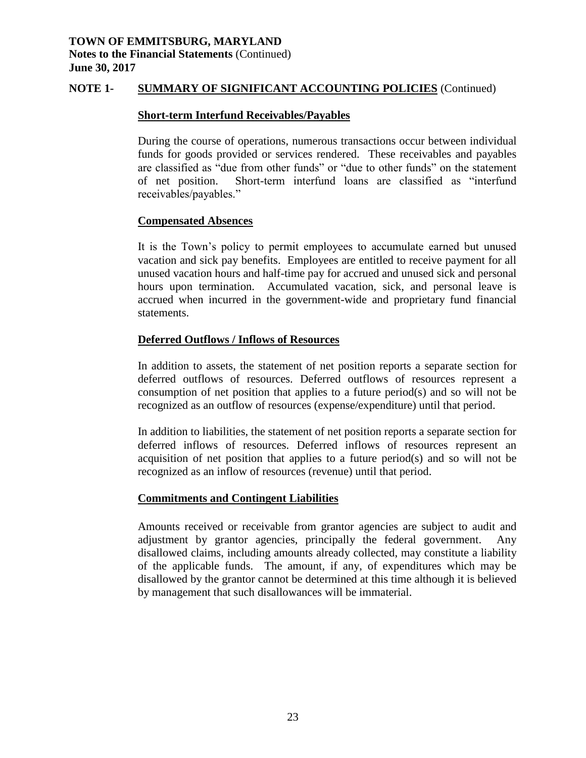#### **Short-term Interfund Receivables/Payables**

During the course of operations, numerous transactions occur between individual funds for goods provided or services rendered. These receivables and payables are classified as "due from other funds" or "due to other funds" on the statement of net position. Short-term interfund loans are classified as "interfund receivables/payables."

#### **Compensated Absences**

It is the Town's policy to permit employees to accumulate earned but unused vacation and sick pay benefits. Employees are entitled to receive payment for all unused vacation hours and half-time pay for accrued and unused sick and personal hours upon termination. Accumulated vacation, sick, and personal leave is accrued when incurred in the government-wide and proprietary fund financial statements.

#### **Deferred Outflows / Inflows of Resources**

In addition to assets, the statement of net position reports a separate section for deferred outflows of resources. Deferred outflows of resources represent a consumption of net position that applies to a future period(s) and so will not be recognized as an outflow of resources (expense/expenditure) until that period.

In addition to liabilities, the statement of net position reports a separate section for deferred inflows of resources. Deferred inflows of resources represent an acquisition of net position that applies to a future period(s) and so will not be recognized as an inflow of resources (revenue) until that period.

#### **Commitments and Contingent Liabilities**

Amounts received or receivable from grantor agencies are subject to audit and adjustment by grantor agencies, principally the federal government. Any disallowed claims, including amounts already collected, may constitute a liability of the applicable funds. The amount, if any, of expenditures which may be disallowed by the grantor cannot be determined at this time although it is believed by management that such disallowances will be immaterial.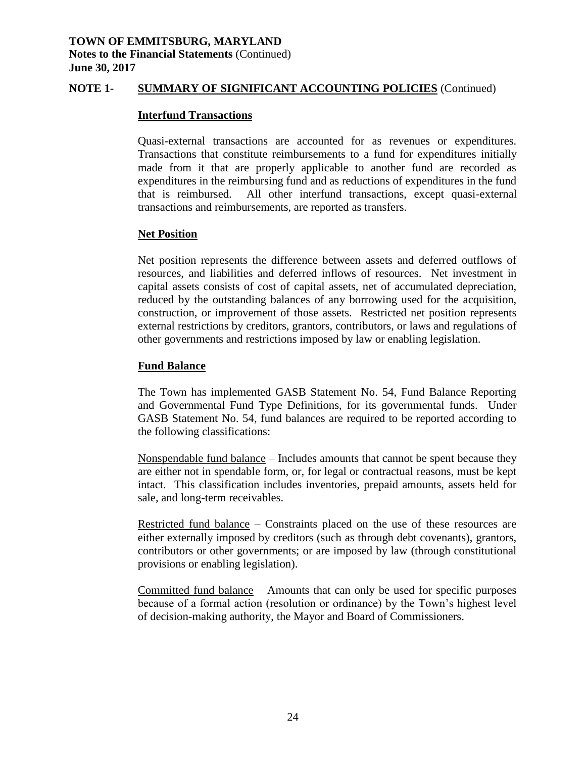### **Interfund Transactions**

Quasi-external transactions are accounted for as revenues or expenditures. Transactions that constitute reimbursements to a fund for expenditures initially made from it that are properly applicable to another fund are recorded as expenditures in the reimbursing fund and as reductions of expenditures in the fund that is reimbursed. All other interfund transactions, except quasi-external transactions and reimbursements, are reported as transfers.

### **Net Position**

Net position represents the difference between assets and deferred outflows of resources, and liabilities and deferred inflows of resources. Net investment in capital assets consists of cost of capital assets, net of accumulated depreciation, reduced by the outstanding balances of any borrowing used for the acquisition, construction, or improvement of those assets. Restricted net position represents external restrictions by creditors, grantors, contributors, or laws and regulations of other governments and restrictions imposed by law or enabling legislation.

### **Fund Balance**

The Town has implemented GASB Statement No. 54, Fund Balance Reporting and Governmental Fund Type Definitions, for its governmental funds. Under GASB Statement No. 54, fund balances are required to be reported according to the following classifications:

Nonspendable fund balance – Includes amounts that cannot be spent because they are either not in spendable form, or, for legal or contractual reasons, must be kept intact. This classification includes inventories, prepaid amounts, assets held for sale, and long-term receivables.

Restricted fund balance – Constraints placed on the use of these resources are either externally imposed by creditors (such as through debt covenants), grantors, contributors or other governments; or are imposed by law (through constitutional provisions or enabling legislation).

Committed fund balance – Amounts that can only be used for specific purposes because of a formal action (resolution or ordinance) by the Town's highest level of decision-making authority, the Mayor and Board of Commissioners.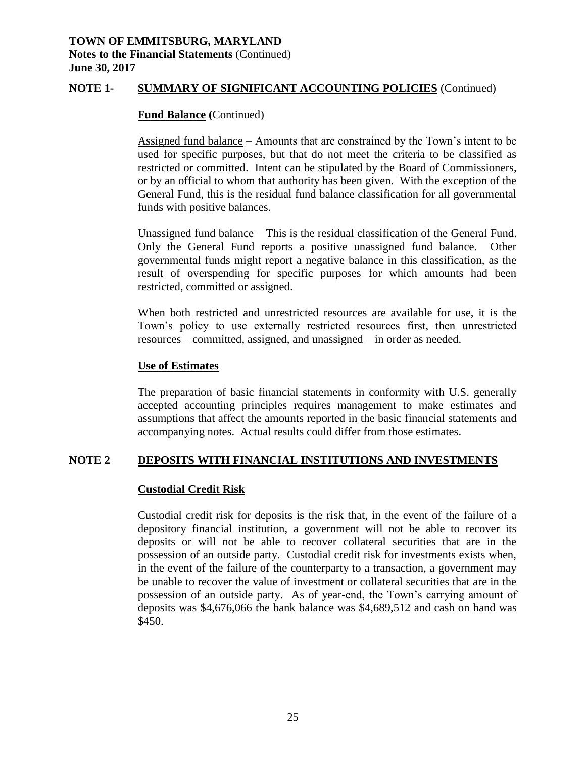### **NOTE 1- SUMMARY OF SIGNIFICANT ACCOUNTING POLICIES** (Continued)

#### **Fund Balance (**Continued)

Assigned fund balance – Amounts that are constrained by the Town's intent to be used for specific purposes, but that do not meet the criteria to be classified as restricted or committed. Intent can be stipulated by the Board of Commissioners, or by an official to whom that authority has been given. With the exception of the General Fund, this is the residual fund balance classification for all governmental funds with positive balances.

Unassigned fund balance – This is the residual classification of the General Fund. Only the General Fund reports a positive unassigned fund balance. Other governmental funds might report a negative balance in this classification, as the result of overspending for specific purposes for which amounts had been restricted, committed or assigned.

When both restricted and unrestricted resources are available for use, it is the Town's policy to use externally restricted resources first, then unrestricted resources – committed, assigned, and unassigned – in order as needed.

#### **Use of Estimates**

The preparation of basic financial statements in conformity with U.S. generally accepted accounting principles requires management to make estimates and assumptions that affect the amounts reported in the basic financial statements and accompanying notes. Actual results could differ from those estimates.

#### **NOTE 2 DEPOSITS WITH FINANCIAL INSTITUTIONS AND INVESTMENTS**

#### **Custodial Credit Risk**

Custodial credit risk for deposits is the risk that, in the event of the failure of a depository financial institution, a government will not be able to recover its deposits or will not be able to recover collateral securities that are in the possession of an outside party. Custodial credit risk for investments exists when, in the event of the failure of the counterparty to a transaction, a government may be unable to recover the value of investment or collateral securities that are in the possession of an outside party. As of year-end, the Town's carrying amount of deposits was \$4,676,066 the bank balance was \$4,689,512 and cash on hand was \$450.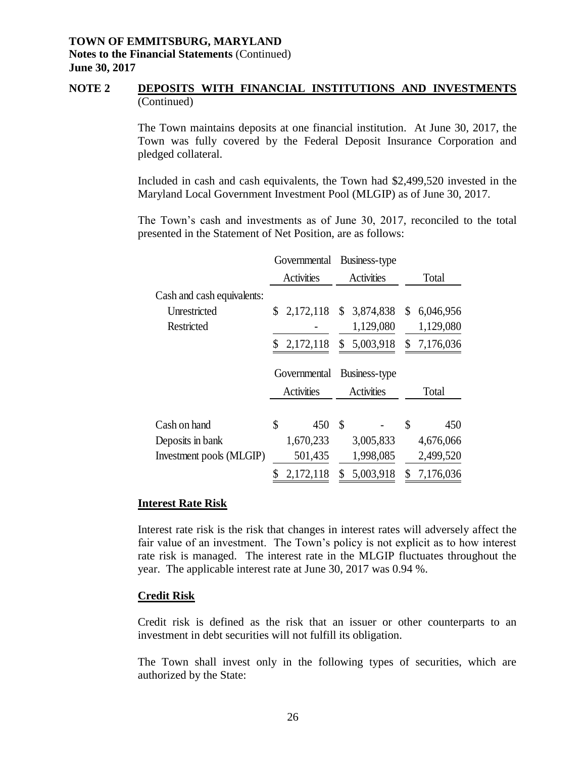### **NOTE 2 DEPOSITS WITH FINANCIAL INSTITUTIONS AND INVESTMENTS** (Continued)

The Town maintains deposits at one financial institution. At June 30, 2017, the Town was fully covered by the Federal Deposit Insurance Corporation and pledged collateral.

Included in cash and cash equivalents, the Town had \$2,499,520 invested in the Maryland Local Government Investment Pool (MLGIP) as of June 30, 2017.

The Town's cash and investments as of June 30, 2017, reconciled to the total presented in the Statement of Net Position, are as follows:

|                            | Governmental    | Business-type   |    |           |
|----------------------------|-----------------|-----------------|----|-----------|
|                            | Activities      | Activities      |    | Total     |
| Cash and cash equivalents: |                 |                 |    |           |
| Unrestricted               | \$<br>2,172,118 | \$<br>3,874,838 | \$ | 6,046,956 |
| Restricted                 |                 | 1,129,080       |    | 1,129,080 |
|                            | 2,172,118       | \$<br>5,003,918 | S  | 7,176,036 |
|                            | Governmental    | Business-type   |    |           |
|                            | Activities      | Activities      |    | Total     |
| Cash on hand               | \$<br>450       | \$              | \$ | 450       |
| Deposits in bank           | 1,670,233       | 3,005,833       |    | 4,676,066 |
| Investment pools (MLGIP)   | 501,435         | 1,998,085       |    | 2,499,520 |
|                            | \$<br>2,172,118 | \$<br>5,003,918 |    | 7,176,036 |

#### **Interest Rate Risk**

Interest rate risk is the risk that changes in interest rates will adversely affect the fair value of an investment. The Town's policy is not explicit as to how interest rate risk is managed. The interest rate in the MLGIP fluctuates throughout the year. The applicable interest rate at June 30, 2017 was 0.94 %.

#### **Credit Risk**

Credit risk is defined as the risk that an issuer or other counterparts to an investment in debt securities will not fulfill its obligation.

The Town shall invest only in the following types of securities, which are authorized by the State: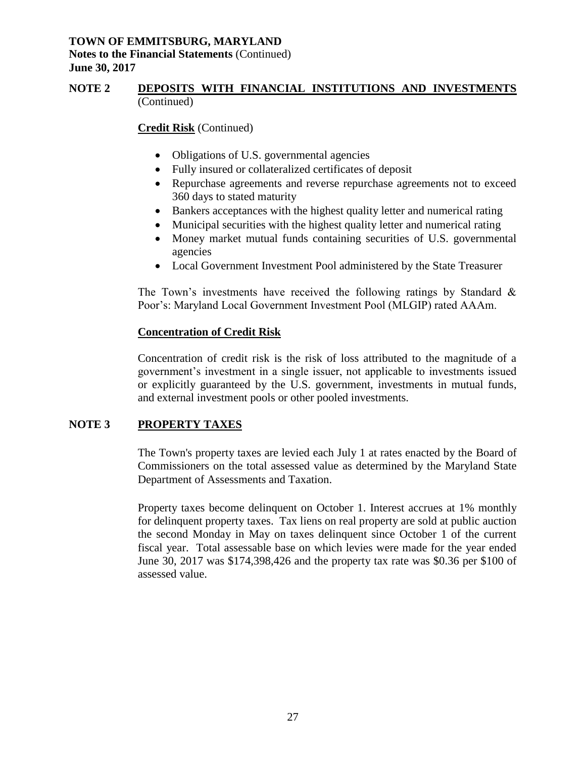### **NOTE 2 DEPOSITS WITH FINANCIAL INSTITUTIONS AND INVESTMENTS** (Continued)

### **Credit Risk** (Continued)

- Obligations of U.S. governmental agencies
- Fully insured or collateralized certificates of deposit
- Repurchase agreements and reverse repurchase agreements not to exceed 360 days to stated maturity
- Bankers acceptances with the highest quality letter and numerical rating
- Municipal securities with the highest quality letter and numerical rating
- Money market mutual funds containing securities of U.S. governmental agencies
- Local Government Investment Pool administered by the State Treasurer

The Town's investments have received the following ratings by Standard  $\&$ Poor's: Maryland Local Government Investment Pool (MLGIP) rated AAAm.

#### **Concentration of Credit Risk**

Concentration of credit risk is the risk of loss attributed to the magnitude of a government's investment in a single issuer, not applicable to investments issued or explicitly guaranteed by the U.S. government, investments in mutual funds, and external investment pools or other pooled investments.

#### **NOTE 3 PROPERTY TAXES**

The Town's property taxes are levied each July 1 at rates enacted by the Board of Commissioners on the total assessed value as determined by the Maryland State Department of Assessments and Taxation.

Property taxes become delinquent on October 1. Interest accrues at 1% monthly for delinquent property taxes. Tax liens on real property are sold at public auction the second Monday in May on taxes delinquent since October 1 of the current fiscal year. Total assessable base on which levies were made for the year ended June 30, 2017 was \$174,398,426 and the property tax rate was \$0.36 per \$100 of assessed value.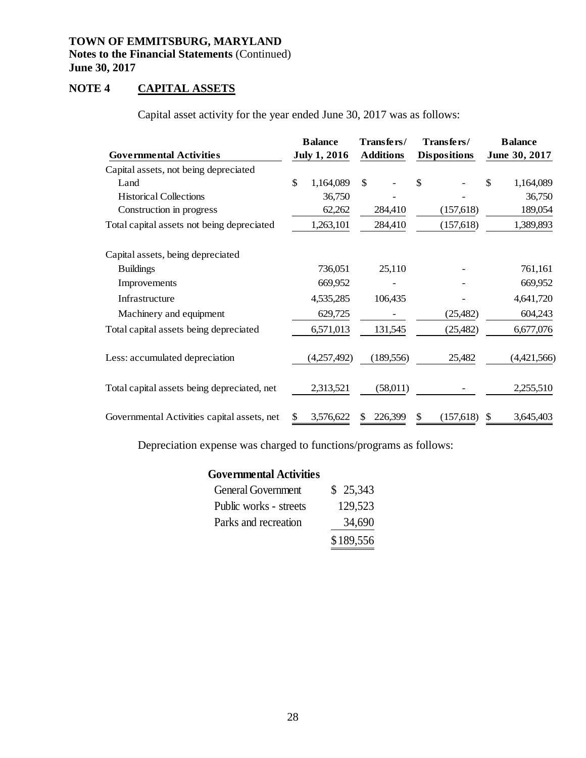## **NOTE 4 CAPITAL ASSETS**

Capital asset activity for the year ended June 30, 2017 was as follows:

|                                             |    | <b>Balance</b>      |    | Transfers/       |    | Transfers/          |    | <b>Balance</b> |
|---------------------------------------------|----|---------------------|----|------------------|----|---------------------|----|----------------|
| <b>Governmental Activities</b>              |    | <b>July 1, 2016</b> |    | <b>Additions</b> |    | <b>Dispositions</b> |    | June 30, 2017  |
| Capital assets, not being depreciated       |    |                     |    |                  |    |                     |    |                |
| Land                                        | \$ | 1,164,089           | \$ |                  | \$ |                     | \$ | 1,164,089      |
| <b>Historical Collections</b>               |    | 36,750              |    |                  |    |                     |    | 36,750         |
| Construction in progress                    |    | 62,262              |    | 284,410          |    | (157,618)           |    | 189,054        |
| Total capital assets not being depreciated  |    | 1,263,101           |    | 284,410          |    | (157,618)           |    | 1,389,893      |
| Capital assets, being depreciated           |    |                     |    |                  |    |                     |    |                |
| <b>Buildings</b>                            |    | 736,051             |    | 25,110           |    |                     |    | 761,161        |
| Improvements                                |    | 669,952             |    |                  |    |                     |    | 669,952        |
| Infrastructure                              |    | 4,535,285           |    | 106,435          |    |                     |    | 4,641,720      |
| Machinery and equipment                     |    | 629,725             |    |                  |    | (25, 482)           |    | 604,243        |
| Total capital assets being depreciated      |    | 6,571,013           |    | 131,545          |    | (25, 482)           |    | 6,677,076      |
| Less: accumulated depreciation              |    | (4,257,492)         |    | (189, 556)       |    | 25,482              |    | (4,421,566)    |
| Total capital assets being depreciated, net |    | 2,313,521           |    | (58,011)         |    |                     |    | 2,255,510      |
| Governmental Activities capital assets, net | S  | 3,576,622           | S  | 226,399          | S  | (157, 618)          | S  | 3,645,403      |

Depreciation expense was charged to functions/programs as follows:

### **Governmental Activities**

| <b>General Government</b> | \$25,343  |
|---------------------------|-----------|
| Public works - streets    | 129,523   |
| Parks and recreation      | 34,690    |
|                           | \$189,556 |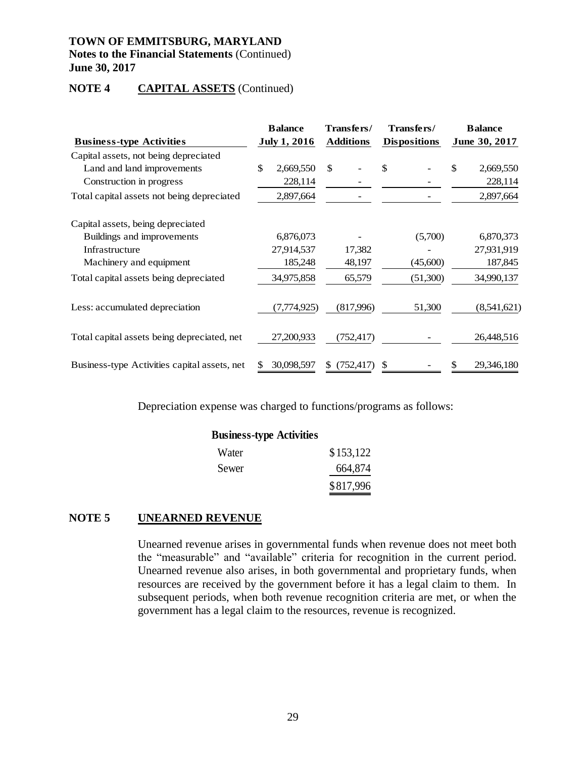### **NOTE 4 CAPITAL ASSETS** (Continued)

| <b>Business-type Activities</b>              | <b>Balance</b><br><b>July 1, 2016</b> | Transfers/<br><b>Additions</b> | Transfers/<br><b>Dispositions</b> | <b>Balance</b><br>June 30, 2017 |
|----------------------------------------------|---------------------------------------|--------------------------------|-----------------------------------|---------------------------------|
| Capital assets, not being depreciated        |                                       |                                |                                   |                                 |
| Land and land improvements                   | \$<br>2,669,550                       | \$                             | \$                                | \$<br>2,669,550                 |
| Construction in progress                     | 228,114                               |                                |                                   | 228,114                         |
| Total capital assets not being depreciated   | 2,897,664                             |                                |                                   | 2,897,664                       |
| Capital assets, being depreciated            |                                       |                                |                                   |                                 |
| Buildings and improvements                   | 6,876,073                             |                                | (5,700)                           | 6,870,373                       |
| Infrastructure                               | 27,914,537                            | 17,382                         |                                   | 27,931,919                      |
| Machinery and equipment                      | 185,248                               | 48,197                         | (45,600)                          | 187,845                         |
| Total capital assets being depreciated       | 34,975,858                            | 65,579                         | (51,300)                          | 34,990,137                      |
| Less: accumulated depreciation               | (7,774,925)                           | (817,996)                      | 51,300                            | (8,541,621)                     |
| Total capital assets being depreciated, net  | 27,200,933                            | (752, 417)                     |                                   | 26,448,516                      |
| Business-type Activities capital assets, net | 30,098,597                            | (752, 417)<br>S.               | S                                 | 29,346,180                      |

Depreciation expense was charged to functions/programs as follows:

| <b>Business-type Activities</b> |           |
|---------------------------------|-----------|
| Water                           | \$153,122 |
| Sewer                           | 664,874   |
|                                 | \$817,996 |

#### **NOTE 5 UNEARNED REVENUE**

Unearned revenue arises in governmental funds when revenue does not meet both the "measurable" and "available" criteria for recognition in the current period. Unearned revenue also arises, in both governmental and proprietary funds, when resources are received by the government before it has a legal claim to them. In subsequent periods, when both revenue recognition criteria are met, or when the government has a legal claim to the resources, revenue is recognized.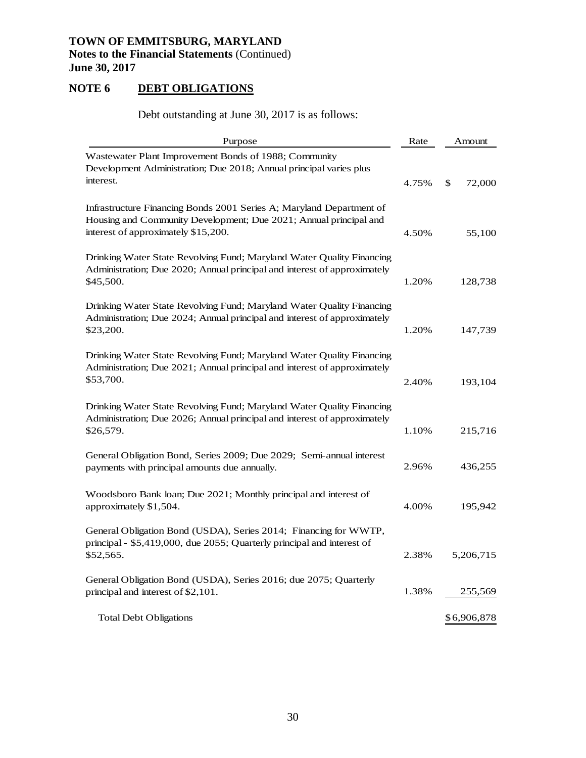## **NOTE 6 DEBT OBLIGATIONS**

Debt outstanding at June 30, 2017 is as follows:

| Purpose                                                                                                                                                                          | Rate  | Amount       |
|----------------------------------------------------------------------------------------------------------------------------------------------------------------------------------|-------|--------------|
| Wastewater Plant Improvement Bonds of 1988; Community<br>Development Administration; Due 2018; Annual principal varies plus<br>interest.                                         | 4.75% | \$<br>72,000 |
| Infrastructure Financing Bonds 2001 Series A; Maryland Department of<br>Housing and Community Development; Due 2021; Annual principal and<br>interest of approximately \$15,200. | 4.50% | 55,100       |
| Drinking Water State Revolving Fund; Maryland Water Quality Financing<br>Administration; Due 2020; Annual principal and interest of approximately<br>\$45,500.                   | 1.20% | 128,738      |
| Drinking Water State Revolving Fund; Maryland Water Quality Financing<br>Administration; Due 2024; Annual principal and interest of approximately<br>\$23,200.                   | 1.20% | 147,739      |
| Drinking Water State Revolving Fund; Maryland Water Quality Financing<br>Administration; Due 2021; Annual principal and interest of approximately<br>\$53,700.                   | 2.40% | 193,104      |
| Drinking Water State Revolving Fund; Maryland Water Quality Financing<br>Administration; Due 2026; Annual principal and interest of approximately<br>\$26,579.                   | 1.10% | 215,716      |
| General Obligation Bond, Series 2009; Due 2029; Semi-annual interest<br>payments with principal amounts due annually.                                                            | 2.96% | 436,255      |
| Woodsboro Bank loan; Due 2021; Monthly principal and interest of<br>approximately \$1,504.                                                                                       | 4.00% | 195,942      |
| General Obligation Bond (USDA), Series 2014; Financing for WWTP,<br>principal - \$5,419,000, due 2055; Quarterly principal and interest of<br>\$52,565.                          | 2.38% | 5,206,715    |
| General Obligation Bond (USDA), Series 2016; due 2075; Quarterly<br>principal and interest of \$2,101.                                                                           | 1.38% | 255,569      |
| <b>Total Debt Obligations</b>                                                                                                                                                    |       | \$6,906,878  |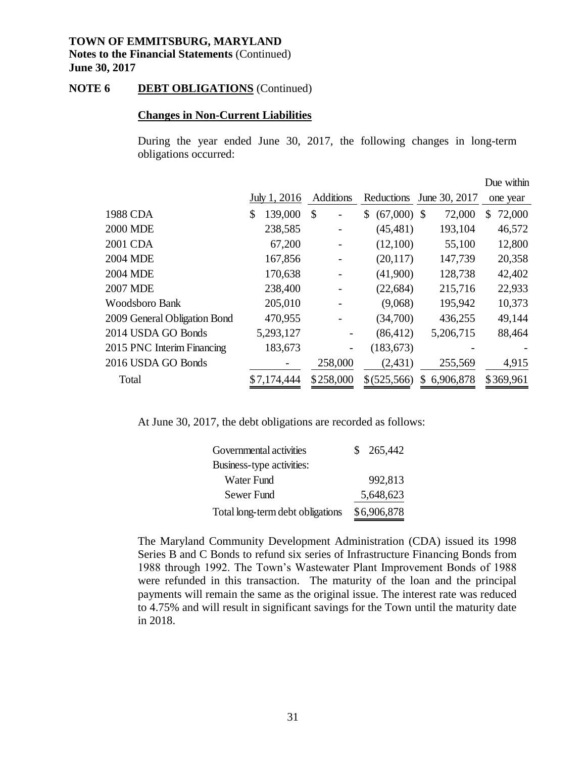#### **NOTE 6 DEBT OBLIGATIONS** (Continued)

#### **Changes in Non-Current Liabilities**

During the year ended June 30, 2017, the following changes in long-term obligations occurred:

|                              |               |                  |                     |                | Due within  |
|------------------------------|---------------|------------------|---------------------|----------------|-------------|
|                              | July 1, 2016  | <b>Additions</b> | Reductions          | June 30, 2017  | one year    |
| 1988 CDA                     | 139,000<br>\$ | \$               | $(67,000)$ \$<br>S. | 72,000         | 72,000<br>S |
| <b>2000 MDE</b>              | 238,585       |                  | (45, 481)           | 193,104        | 46,572      |
| 2001 CDA                     | 67,200        |                  | (12,100)            | 55,100         | 12,800      |
| <b>2004 MDE</b>              | 167,856       |                  | (20, 117)           | 147,739        | 20,358      |
| <b>2004 MDE</b>              | 170,638       |                  | (41,900)            | 128,738        | 42,402      |
| <b>2007 MDE</b>              | 238,400       |                  | (22, 684)           | 215,716        | 22,933      |
| <b>Woodsboro Bank</b>        | 205,010       |                  | (9,068)             | 195,942        | 10,373      |
| 2009 General Obligation Bond | 470,955       |                  | (34,700)            | 436,255        | 49,144      |
| 2014 USDA GO Bonds           | 5,293,127     |                  | (86, 412)           | 5,206,715      | 88,464      |
| 2015 PNC Interim Financing   | 183,673       |                  | (183, 673)          |                |             |
| 2016 USDA GO Bonds           |               | 258,000          | (2, 431)            | 255,569        | 4,915       |
| Total                        | \$7,174,444   | \$258,000        | \$ (525,566)        | 6,906,878<br>S | \$369,961   |

At June 30, 2017, the debt obligations are recorded as follows:

| Governmental activities          | \$265,442   |
|----------------------------------|-------------|
| Business-type activities:        |             |
| Water Fund                       | 992,813     |
| Sewer Fund                       | 5,648,623   |
| Total long-term debt obligations | \$6,906,878 |

The Maryland Community Development Administration (CDA) issued its 1998 Series B and C Bonds to refund six series of Infrastructure Financing Bonds from 1988 through 1992. The Town's Wastewater Plant Improvement Bonds of 1988 were refunded in this transaction. The maturity of the loan and the principal payments will remain the same as the original issue. The interest rate was reduced to 4.75% and will result in significant savings for the Town until the maturity date in 2018.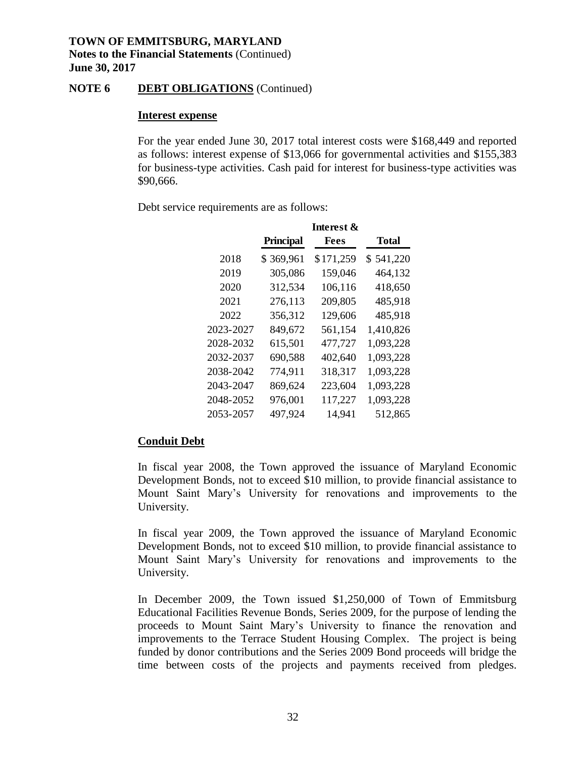#### **NOTE 6 DEBT OBLIGATIONS** (Continued)

#### **Interest expense**

For the year ended June 30, 2017 total interest costs were \$168,449 and reported as follows: interest expense of \$13,066 for governmental activities and \$155,383 for business-type activities. Cash paid for interest for business-type activities was \$90,666.

Debt service requirements are as follows:

|           |           | Interest & |           |
|-----------|-----------|------------|-----------|
|           | Principal | Fees       | Total     |
| 2018      | \$369,961 | \$171,259  | \$541,220 |
| 2019      | 305,086   | 159,046    | 464,132   |
| 2020      | 312,534   | 106,116    | 418,650   |
| 2021      | 276,113   | 209,805    | 485,918   |
| 2022      | 356.312   | 129,606    | 485,918   |
| 2023-2027 | 849.672   | 561.154    | 1,410,826 |
| 2028-2032 | 615,501   | 477,727    | 1,093,228 |
| 2032-2037 | 690.588   | 402.640    | 1,093,228 |
| 2038-2042 | 774,911   | 318,317    | 1,093,228 |
| 2043-2047 | 869.624   | 223.604    | 1,093,228 |
| 2048-2052 | 976.001   | 117,227    | 1,093,228 |
| 2053-2057 | 497,924   | 14,941     | 512,865   |
|           |           |            |           |

#### **Conduit Debt**

In fiscal year 2008, the Town approved the issuance of Maryland Economic Development Bonds, not to exceed \$10 million, to provide financial assistance to Mount Saint Mary's University for renovations and improvements to the University.

In fiscal year 2009, the Town approved the issuance of Maryland Economic Development Bonds, not to exceed \$10 million, to provide financial assistance to Mount Saint Mary's University for renovations and improvements to the University.

In December 2009, the Town issued \$1,250,000 of Town of Emmitsburg Educational Facilities Revenue Bonds, Series 2009, for the purpose of lending the proceeds to Mount Saint Mary's University to finance the renovation and improvements to the Terrace Student Housing Complex. The project is being funded by donor contributions and the Series 2009 Bond proceeds will bridge the time between costs of the projects and payments received from pledges.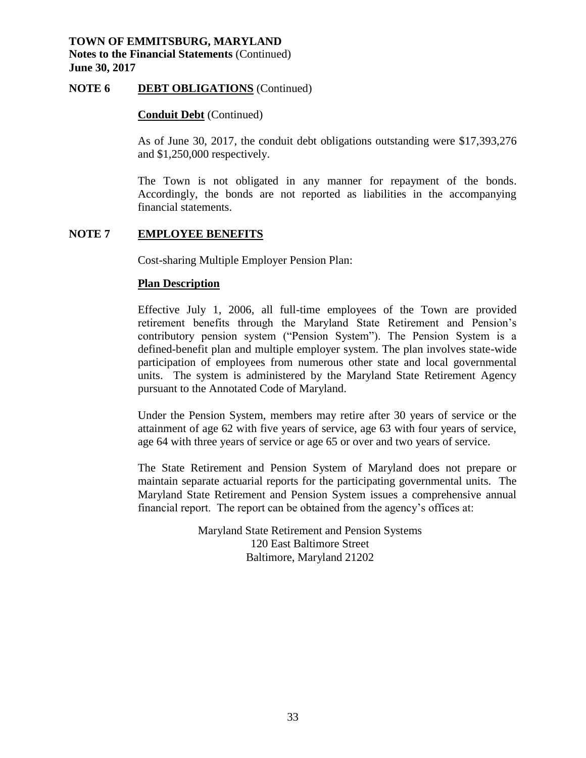#### **NOTE 6 DEBT OBLIGATIONS** (Continued)

#### **Conduit Debt** (Continued)

As of June 30, 2017, the conduit debt obligations outstanding were \$17,393,276 and \$1,250,000 respectively.

The Town is not obligated in any manner for repayment of the bonds. Accordingly, the bonds are not reported as liabilities in the accompanying financial statements.

#### **NOTE 7 EMPLOYEE BENEFITS**

Cost-sharing Multiple Employer Pension Plan:

#### **Plan Description**

Effective July 1, 2006, all full-time employees of the Town are provided retirement benefits through the Maryland State Retirement and Pension's contributory pension system ("Pension System"). The Pension System is a defined-benefit plan and multiple employer system. The plan involves state-wide participation of employees from numerous other state and local governmental units. The system is administered by the Maryland State Retirement Agency pursuant to the Annotated Code of Maryland.

Under the Pension System, members may retire after 30 years of service or the attainment of age 62 with five years of service, age 63 with four years of service, age 64 with three years of service or age 65 or over and two years of service.

The State Retirement and Pension System of Maryland does not prepare or maintain separate actuarial reports for the participating governmental units. The Maryland State Retirement and Pension System issues a comprehensive annual financial report. The report can be obtained from the agency's offices at:

> Maryland State Retirement and Pension Systems 120 East Baltimore Street Baltimore, Maryland 21202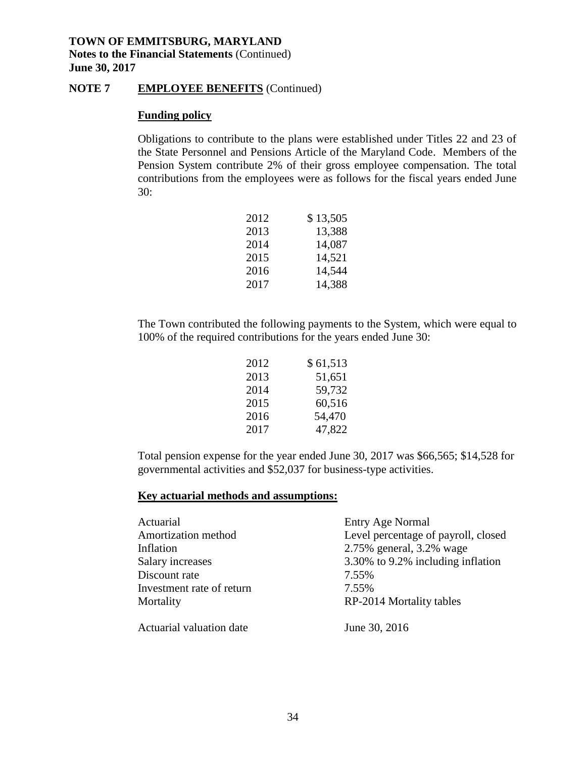#### **NOTE 7 EMPLOYEE BENEFITS** (Continued)

#### **Funding policy**

Obligations to contribute to the plans were established under Titles 22 and 23 of the State Personnel and Pensions Article of the Maryland Code. Members of the Pension System contribute 2% of their gross employee compensation. The total contributions from the employees were as follows for the fiscal years ended June 30:

| 2012 | \$13,505 |
|------|----------|
| 2013 | 13,388   |
| 2014 | 14,087   |
| 2015 | 14,521   |
| 2016 | 14,544   |
| 2017 | 14,388   |

The Town contributed the following payments to the System, which were equal to 100% of the required contributions for the years ended June 30:

| 2012 | \$61,513 |
|------|----------|
| 2013 | 51,651   |
| 2014 | 59,732   |
| 2015 | 60,516   |
| 2016 | 54,470   |
| 2017 | 47,822   |

Total pension expense for the year ended June 30, 2017 was \$66,565; \$14,528 for governmental activities and \$52,037 for business-type activities.

#### **Key actuarial methods and assumptions:**

| <b>Entry Age Normal</b>             |
|-------------------------------------|
| Level percentage of payroll, closed |
| 2.75% general, 3.2% wage            |
| 3.30% to 9.2% including inflation   |
| 7.55%                               |
| 7.55%                               |
| RP-2014 Mortality tables            |
| June 30, 2016                       |
|                                     |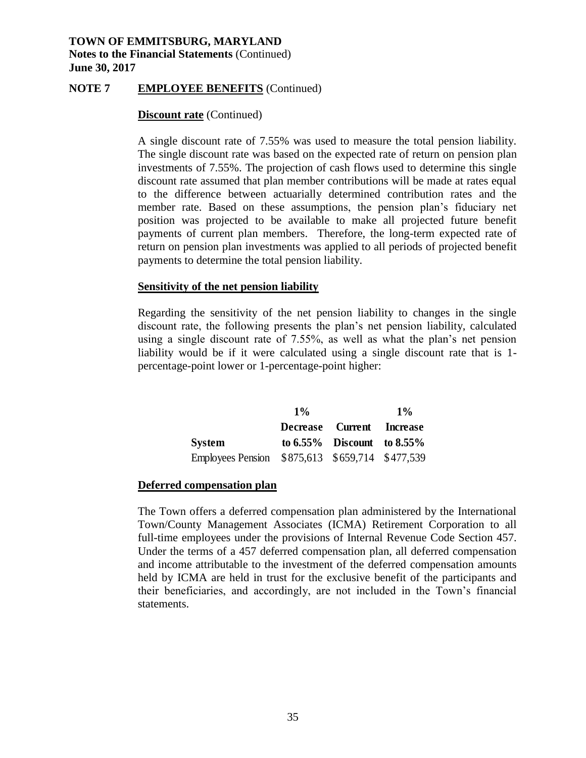#### **NOTE 7 EMPLOYEE BENEFITS** (Continued)

#### **Discount rate** (Continued)

A single discount rate of 7.55% was used to measure the total pension liability. The single discount rate was based on the expected rate of return on pension plan investments of 7.55%. The projection of cash flows used to determine this single discount rate assumed that plan member contributions will be made at rates equal to the difference between actuarially determined contribution rates and the member rate. Based on these assumptions, the pension plan's fiduciary net position was projected to be available to make all projected future benefit payments of current plan members. Therefore, the long-term expected rate of return on pension plan investments was applied to all periods of projected benefit payments to determine the total pension liability.

#### **Sensitivity of the net pension liability**

Regarding the sensitivity of the net pension liability to changes in the single discount rate, the following presents the plan's net pension liability, calculated using a single discount rate of 7.55%, as well as what the plan's net pension liability would be if it were calculated using a single discount rate that is 1 percentage-point lower or 1-percentage-point higher:

|                                                 | $1\%$ |                                  | $1\%$ |
|-------------------------------------------------|-------|----------------------------------|-------|
|                                                 |       | Decrease Current Increase        |       |
| <b>System</b>                                   |       | to $6.55\%$ Discount to $8.55\%$ |       |
| Employees Pension \$875,613 \$659,714 \$477,539 |       |                                  |       |

#### **Deferred compensation plan**

The Town offers a deferred compensation plan administered by the International Town/County Management Associates (ICMA) Retirement Corporation to all full-time employees under the provisions of Internal Revenue Code Section 457. Under the terms of a 457 deferred compensation plan, all deferred compensation and income attributable to the investment of the deferred compensation amounts held by ICMA are held in trust for the exclusive benefit of the participants and their beneficiaries, and accordingly, are not included in the Town's financial statements.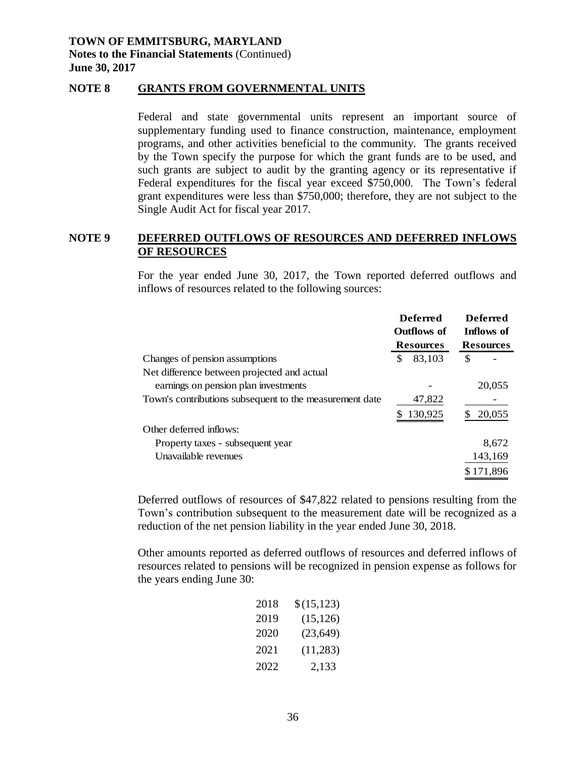#### **NOTE 8 GRANTS FROM GOVERNMENTAL UNITS**

Federal and state governmental units represent an important source of supplementary funding used to finance construction, maintenance, employment programs, and other activities beneficial to the community. The grants received by the Town specify the purpose for which the grant funds are to be used, and such grants are subject to audit by the granting agency or its representative if Federal expenditures for the fiscal year exceed \$750,000. The Town's federal grant expenditures were less than \$750,000; therefore, they are not subject to the Single Audit Act for fiscal year 2017.

### **NOTE 9 DEFERRED OUTFLOWS OF RESOURCES AND DEFERRED INFLOWS OF RESOURCES**

For the year ended June 30, 2017, the Town reported deferred outflows and inflows of resources related to the following sources:

|                                                         | <b>Deferred</b><br><b>Outflows of</b> | <b>Deferred</b><br>Inflows of |
|---------------------------------------------------------|---------------------------------------|-------------------------------|
|                                                         | <b>Resources</b>                      | <b>Resources</b>              |
| Changes of pension assumptions                          | \$<br>83,103                          | \$                            |
| Net difference between projected and actual             |                                       |                               |
| earnings on pension plan investments                    |                                       | 20,055                        |
| Town's contributions subsequent to the measurement date | 47,822                                |                               |
|                                                         | 130.925                               | 20,055                        |
| Other deferred inflows:                                 |                                       |                               |
| Property taxes - subsequent year                        |                                       | 8,672                         |
| Unavailable revenues                                    |                                       | 143,169                       |
|                                                         |                                       | \$171.896                     |

Deferred outflows of resources of \$47,822 related to pensions resulting from the Town's contribution subsequent to the measurement date will be recognized as a reduction of the net pension liability in the year ended June 30, 2018.

Other amounts reported as deferred outflows of resources and deferred inflows of resources related to pensions will be recognized in pension expense as follows for the years ending June 30:

| 2018 | \$(15, 123) |
|------|-------------|
| 2019 | (15, 126)   |
| 2020 | (23, 649)   |
| 2021 | (11,283)    |
| 2022 | 2,133       |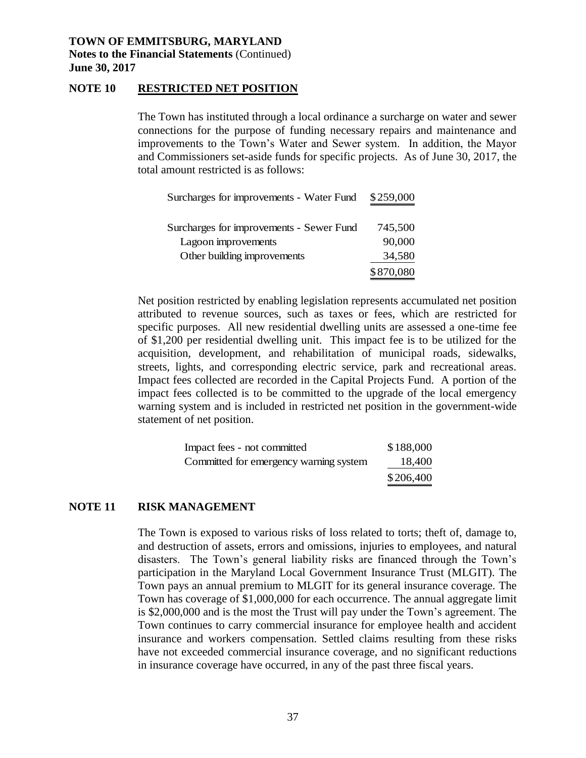#### **NOTE 10 RESTRICTED NET POSITION**

The Town has instituted through a local ordinance a surcharge on water and sewer connections for the purpose of funding necessary repairs and maintenance and improvements to the Town's Water and Sewer system. In addition, the Mayor and Commissioners set-aside funds for specific projects. As of June 30, 2017, the total amount restricted is as follows:

| Surcharges for improvements - Water Fund | \$259,000 |
|------------------------------------------|-----------|
| Surcharges for improvements - Sewer Fund | 745,500   |
| Lagoon improvements                      | 90,000    |
| Other building improvements              | 34,580    |
|                                          | \$870,080 |

Net position restricted by enabling legislation represents accumulated net position attributed to revenue sources, such as taxes or fees, which are restricted for specific purposes. All new residential dwelling units are assessed a one-time fee of \$1,200 per residential dwelling unit. This impact fee is to be utilized for the acquisition, development, and rehabilitation of municipal roads, sidewalks, streets, lights, and corresponding electric service, park and recreational areas. Impact fees collected are recorded in the Capital Projects Fund. A portion of the impact fees collected is to be committed to the upgrade of the local emergency warning system and is included in restricted net position in the government-wide statement of net position.

| Impact fees - not committed            | \$188,000 |
|----------------------------------------|-----------|
| Committed for emergency warning system | 18,400    |
|                                        | \$206,400 |

#### **NOTE 11 RISK MANAGEMENT**

The Town is exposed to various risks of loss related to torts; theft of, damage to, and destruction of assets, errors and omissions, injuries to employees, and natural disasters. The Town's general liability risks are financed through the Town's participation in the Maryland Local Government Insurance Trust (MLGIT). The Town pays an annual premium to MLGIT for its general insurance coverage. The Town has coverage of \$1,000,000 for each occurrence. The annual aggregate limit is \$2,000,000 and is the most the Trust will pay under the Town's agreement. The Town continues to carry commercial insurance for employee health and accident insurance and workers compensation. Settled claims resulting from these risks have not exceeded commercial insurance coverage, and no significant reductions in insurance coverage have occurred, in any of the past three fiscal years.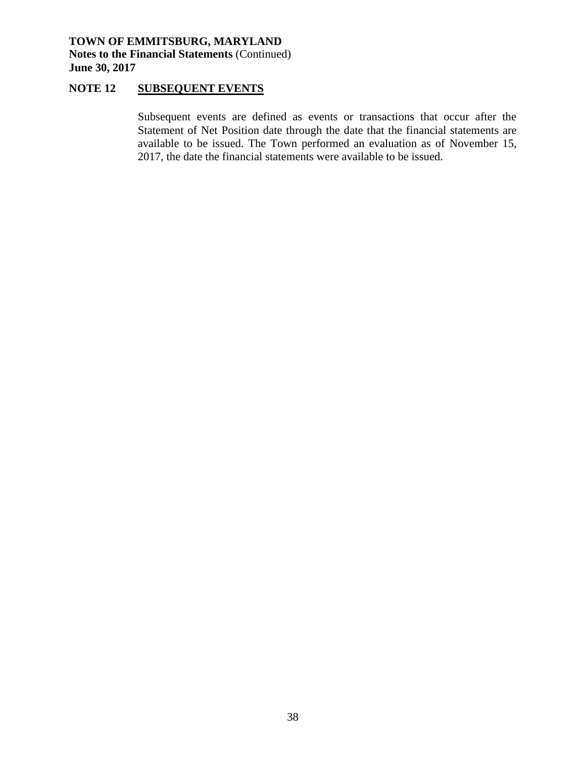### **NOTE 12 SUBSEQUENT EVENTS**

Subsequent events are defined as events or transactions that occur after the Statement of Net Position date through the date that the financial statements are available to be issued. The Town performed an evaluation as of November 15, 2017, the date the financial statements were available to be issued.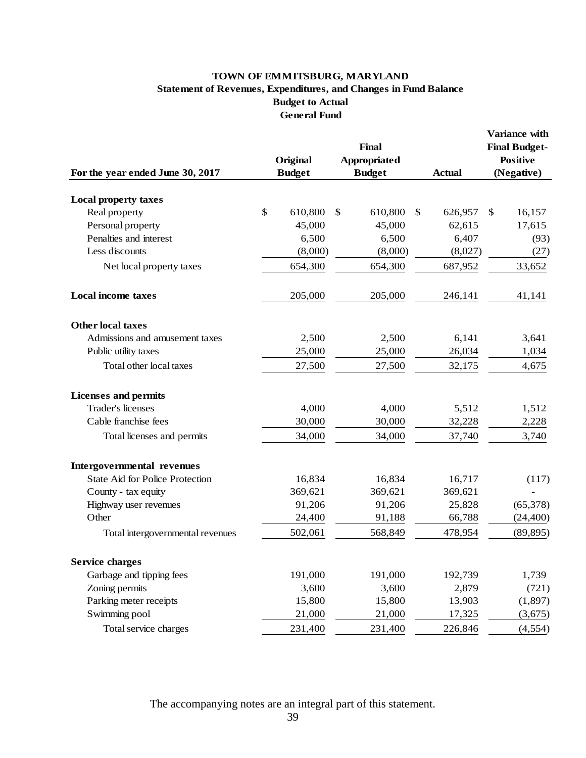| For the year ended June 30, 2017       |                           | Original<br><b>Budget</b> | <b>Final</b><br><b>Appropriated</b><br><b>Budget</b> | <b>Actual</b> | Variance with<br><b>Final Budget-</b><br><b>Positive</b><br>(Negative) |
|----------------------------------------|---------------------------|---------------------------|------------------------------------------------------|---------------|------------------------------------------------------------------------|
| <b>Local property taxes</b>            |                           |                           |                                                      |               |                                                                        |
| Real property                          | $\boldsymbol{\mathsf{S}}$ | 610,800                   | $\mathcal{S}$<br>610,800                             | \$<br>626,957 | 16,157<br>\$                                                           |
| Personal property                      |                           | 45,000                    | 45,000                                               | 62,615        | 17,615                                                                 |
| Penalties and interest                 |                           | 6,500                     | 6,500                                                | 6,407         | (93)                                                                   |
| Less discounts                         |                           | (8,000)                   | (8,000)                                              | (8,027)       | (27)                                                                   |
| Net local property taxes               |                           | 654,300                   | 654,300                                              | 687,952       | 33,652                                                                 |
| <b>Local income taxes</b>              |                           | 205,000                   | 205,000                                              | 246,141       | 41,141                                                                 |
| <b>Other local taxes</b>               |                           |                           |                                                      |               |                                                                        |
| Admissions and amusement taxes         |                           | 2,500                     | 2,500                                                | 6,141         | 3,641                                                                  |
| Public utility taxes                   |                           | 25,000                    | 25,000                                               | 26,034        | 1,034                                                                  |
| Total other local taxes                |                           | 27,500                    | 27,500                                               | 32,175        | 4,675                                                                  |
| Licenses and permits                   |                           |                           |                                                      |               |                                                                        |
| Trader's licenses                      |                           | 4,000                     | 4,000                                                | 5,512         | 1,512                                                                  |
| Cable franchise fees                   |                           | 30,000                    | 30,000                                               | 32,228        | 2,228                                                                  |
| Total licenses and permits             |                           | 34,000                    | 34,000                                               | 37,740        | 3,740                                                                  |
| Intergovernmental revenues             |                           |                           |                                                      |               |                                                                        |
| <b>State Aid for Police Protection</b> |                           | 16,834                    | 16,834                                               | 16,717        | (117)                                                                  |
| County - tax equity                    |                           | 369,621                   | 369,621                                              | 369,621       |                                                                        |
| Highway user revenues                  |                           | 91,206                    | 91,206                                               | 25,828        | (65,378)                                                               |
| Other                                  |                           | 24,400                    | 91,188                                               | 66,788        | (24, 400)                                                              |
| Total intergovernmental revenues       |                           | 502,061                   | 568,849                                              | 478,954       | (89, 895)                                                              |
| <b>Service charges</b>                 |                           |                           |                                                      |               |                                                                        |
| Garbage and tipping fees               |                           | 191,000                   | 191,000                                              | 192,739       | 1,739                                                                  |
| Zoning permits                         |                           | 3,600                     | 3,600                                                | 2,879         | (721)                                                                  |
| Parking meter receipts                 |                           | 15,800                    | 15,800                                               | 13,903        | (1, 897)                                                               |
| Swimming pool                          |                           | 21,000                    | 21,000                                               | 17,325        | (3,675)                                                                |
| Total service charges                  |                           | 231,400                   | 231,400                                              | 226,846       | (4, 554)                                                               |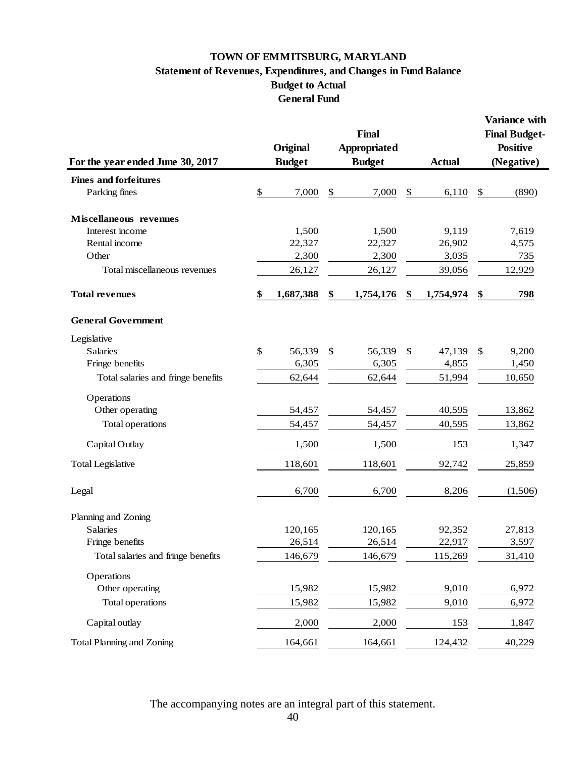|                                    |                 |              |               |                 | Variance with        |
|------------------------------------|-----------------|--------------|---------------|-----------------|----------------------|
|                                    |                 |              | <b>Final</b>  |                 | <b>Final Budget-</b> |
|                                    | Original        |              | Appropriated  |                 | <b>Positive</b>      |
| For the year ended June 30, 2017   | <b>Budget</b>   |              | <b>Budget</b> | <b>Actual</b>   | (Negative)           |
| <b>Fines and forfeitures</b>       |                 |              |               |                 |                      |
| Parking fines                      | \$<br>7,000     | \$           | 7,000         | \$<br>6,110     | \$<br>(890)          |
| <b>Miscellaneous</b> revenues      |                 |              |               |                 |                      |
| Interest income                    | 1,500           |              | 1,500         | 9,119           | 7,619                |
| Rental income                      | 22,327          |              | 22,327        | 26,902          | 4,575                |
| Other                              | 2,300           |              | 2,300         | 3,035           | 735                  |
| Total miscellaneous revenues       | 26,127          |              | 26,127        | 39,056          | 12,929               |
| <b>Total revenues</b>              | \$<br>1,687,388 | \$           | 1,754,176     | \$<br>1,754,974 | \$<br>798            |
| <b>General Government</b>          |                 |              |               |                 |                      |
| Legislative                        |                 |              |               |                 |                      |
| <b>Salaries</b>                    | \$<br>56,339    | $\mathbb{S}$ | 56,339        | \$<br>47,139    | \$<br>9,200          |
| Fringe benefits                    | 6,305           |              | 6,305         | 4,855           | 1,450                |
| Total salaries and fringe benefits | 62,644          |              | 62,644        | 51,994          | 10,650               |
| Operations                         |                 |              |               |                 |                      |
| Other operating                    | 54,457          |              | 54,457        | 40,595          | 13,862               |
| Total operations                   | 54,457          |              | 54,457        | 40,595          | 13,862               |
| Capital Outlay                     | 1,500           |              | 1,500         | 153             | 1,347                |
| <b>Total Legislative</b>           | 118,601         |              | 118,601       | 92,742          | 25,859               |
| Legal                              | 6,700           |              | 6,700         | 8,206           | (1,506)              |
| Planning and Zoning                |                 |              |               |                 |                      |
| <b>Salaries</b>                    | 120,165         |              | 120,165       | 92,352          | 27,813               |
| Fringe benefits                    | 26,514          |              | 26,514        | 22,917          | 3,597                |
| Total salaries and fringe benefits | 146,679         |              | 146,679       | 115,269         | 31,410               |
| Operations                         |                 |              |               |                 |                      |
| Other operating                    | 15,982          |              | 15,982        | 9,010           | 6,972                |
| Total operations                   | 15,982          |              | 15,982        | 9,010           | 6,972                |
| Capital outlay                     | 2,000           |              | 2,000         | 153             | 1,847                |
| Total Planning and Zoning          | 164,661         |              | 164,661       | 124,432         | 40,229               |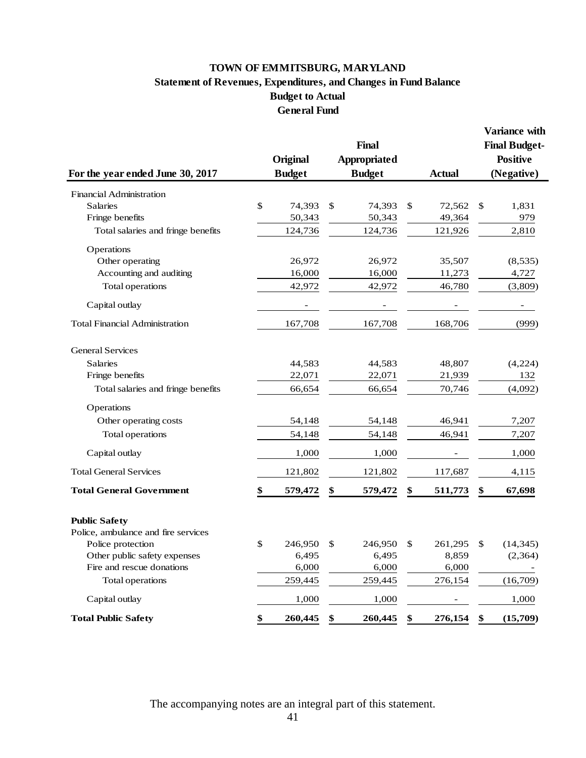|                                       | Original      | Final<br><b>Appropriated</b> |               |               | Variance with<br><b>Final Budget-</b><br><b>Positive</b> |
|---------------------------------------|---------------|------------------------------|---------------|---------------|----------------------------------------------------------|
| For the year ended June 30, 2017      | <b>Budget</b> | <b>Budget</b>                | <b>Actual</b> |               | (Negative)                                               |
| <b>Financial Administration</b>       |               |                              |               |               |                                                          |
| <b>Salaries</b>                       | \$<br>74,393  | \$<br>74,393                 | \$<br>72,562  | \$            | 1,831                                                    |
| Fringe benefits                       | 50,343        | 50,343                       | 49,364        |               | 979                                                      |
| Total salaries and fringe benefits    | 124,736       | 124,736                      | 121,926       |               | 2,810                                                    |
| Operations                            |               |                              |               |               |                                                          |
| Other operating                       | 26,972        | 26,972                       | 35,507        |               | (8,535)                                                  |
| Accounting and auditing               | 16,000        | 16,000                       | 11,273        |               | 4,727                                                    |
| Total operations                      | 42,972        | 42,972                       | 46,780        |               | (3,809)                                                  |
| Capital outlay                        |               |                              |               |               |                                                          |
| <b>Total Financial Administration</b> | 167,708       | 167,708                      | 168,706       |               | (999)                                                    |
| <b>General Services</b>               |               |                              |               |               |                                                          |
| <b>Salaries</b>                       | 44,583        | 44,583                       | 48,807        |               | (4,224)                                                  |
| Fringe benefits                       | 22,071        | 22,071                       | 21,939        |               | 132                                                      |
| Total salaries and fringe benefits    | 66,654        | 66,654                       | 70,746        |               | (4,092)                                                  |
| Operations                            |               |                              |               |               |                                                          |
| Other operating costs                 | 54,148        | 54,148                       | 46,941        |               | 7,207                                                    |
| Total operations                      | 54,148        | 54,148                       | 46,941        |               | 7,207                                                    |
| Capital outlay                        | 1,000         | 1,000                        |               |               | 1,000                                                    |
| <b>Total General Services</b>         | 121,802       | 121,802                      | 117,687       |               | 4,115                                                    |
| <b>Total General Government</b>       | \$<br>579,472 | \$<br>579,472                | \$<br>511,773 | $\frac{\$}{}$ | 67,698                                                   |
| <b>Public Safety</b>                  |               |                              |               |               |                                                          |
| Police, ambulance and fire services   |               |                              |               |               |                                                          |
| Police protection                     | \$<br>246,950 | \$<br>246,950                | \$<br>261,295 | \$            | (14, 345)                                                |
| Other public safety expenses          | 6,495         | 6,495                        | 8,859         |               | (2, 364)                                                 |
| Fire and rescue donations             | 6,000         | 6,000                        | 6,000         |               |                                                          |
| Total operations                      | 259,445       | 259,445                      | 276,154       |               | (16,709)                                                 |
| Capital outlay                        | 1,000         | 1,000                        |               |               | 1,000                                                    |
| <b>Total Public Safety</b>            | \$<br>260,445 | \$<br>260,445                | \$<br>276,154 | $\frac{\$}{}$ | (15,709)                                                 |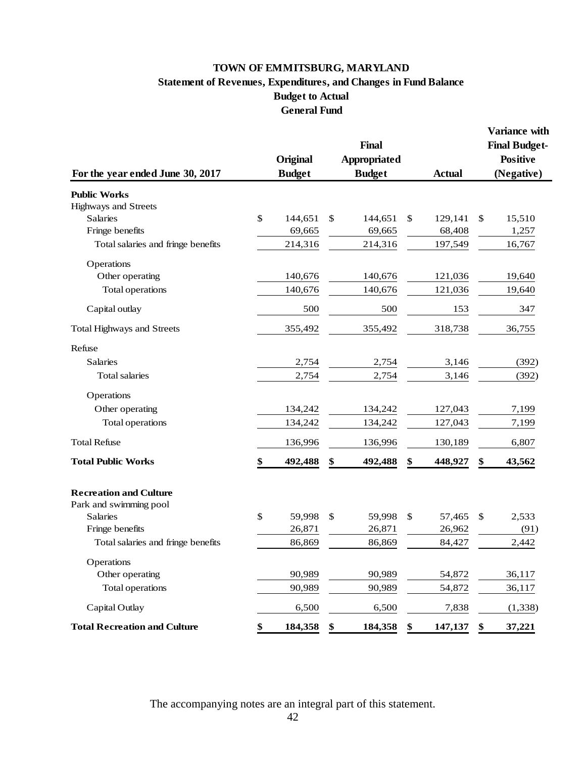|                                                         | Original      | <b>Final</b><br>Appropriated |               |               | Variance with<br><b>Final Budget-</b><br><b>Positive</b> |
|---------------------------------------------------------|---------------|------------------------------|---------------|---------------|----------------------------------------------------------|
| For the year ended June 30, 2017                        | <b>Budget</b> | <b>Budget</b>                | <b>Actual</b> |               | (Negative)                                               |
| <b>Public Works</b>                                     |               |                              |               |               |                                                          |
| <b>Highways and Streets</b>                             |               |                              |               |               |                                                          |
| <b>Salaries</b>                                         | \$<br>144,651 | \$<br>144,651                | \$<br>129,141 | \$            | 15,510                                                   |
| Fringe benefits                                         | 69,665        | 69,665                       | 68,408        |               | 1,257                                                    |
| Total salaries and fringe benefits                      | 214,316       | 214,316                      | 197,549       |               | 16,767                                                   |
| Operations                                              |               |                              |               |               |                                                          |
| Other operating                                         | 140,676       | 140,676                      | 121,036       |               | 19,640                                                   |
| Total operations                                        | 140,676       | 140,676                      | 121,036       |               | 19,640                                                   |
| Capital outlay                                          | 500           | 500                          | 153           |               | 347                                                      |
| <b>Total Highways and Streets</b>                       | 355,492       | 355,492                      | 318,738       |               | 36,755                                                   |
| Refuse                                                  |               |                              |               |               |                                                          |
| <b>Salaries</b>                                         | 2,754         | 2,754                        | 3,146         |               | (392)                                                    |
| Total salaries                                          | 2,754         | 2,754                        | 3,146         |               | (392)                                                    |
| Operations                                              |               |                              |               |               |                                                          |
| Other operating                                         | 134,242       | 134,242                      | 127,043       |               | 7,199                                                    |
| Total operations                                        | 134,242       | 134,242                      | 127,043       |               | 7,199                                                    |
| <b>Total Refuse</b>                                     | 136,996       | 136,996                      | 130,189       |               | 6,807                                                    |
| <b>Total Public Works</b>                               | \$<br>492,488 | \$<br>492,488                | \$<br>448,927 | \$            | 43,562                                                   |
| <b>Recreation and Culture</b><br>Park and swimming pool |               |                              |               |               |                                                          |
| Salaries                                                | \$<br>59,998  | \$<br>59,998                 | \$<br>57,465  | \$            | 2,533                                                    |
| Fringe benefits                                         | 26,871        | 26,871                       | 26,962        |               | (91)                                                     |
| Total salaries and fringe benefits                      | 86,869        | 86,869                       | 84,427        |               | 2,442                                                    |
| Operations                                              |               |                              |               |               |                                                          |
| Other operating                                         | 90,989        | 90,989                       | 54,872        |               | 36,117                                                   |
| Total operations                                        | 90,989        | 90,989                       | 54,872        |               | 36,117                                                   |
| Capital Outlay                                          | 6,500         | 6,500                        | 7,838         |               | (1, 338)                                                 |
| <b>Total Recreation and Culture</b>                     | \$<br>184,358 | \$<br>184,358                | \$<br>147,137 | $\frac{\$}{}$ | 37,221                                                   |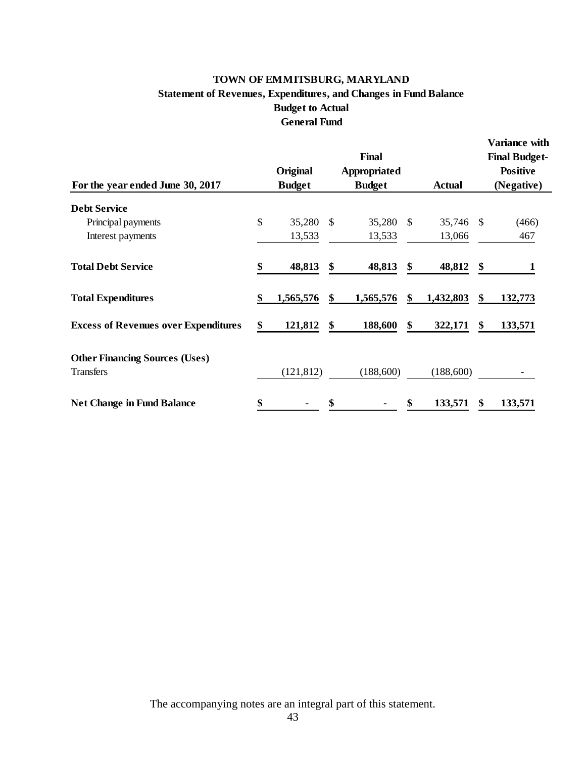| For the year ended June 30, 2017                          | Original<br><b>Budget</b> |    | <b>Final</b><br>Appropriated<br><b>Budget</b> |    | <b>Actual</b>    |      | <b>Variance with</b><br><b>Final Budget-</b><br><b>Positive</b><br>(Negative) |
|-----------------------------------------------------------|---------------------------|----|-----------------------------------------------|----|------------------|------|-------------------------------------------------------------------------------|
| <b>Debt Service</b>                                       |                           |    |                                               |    |                  |      |                                                                               |
| Principal payments<br>Interest payments                   | \$<br>35,280<br>13,533    | -S | 35,280<br>13,533                              | -S | 35,746<br>13,066 | - \$ | (466)<br>467                                                                  |
| <b>Total Debt Service</b>                                 | \$<br>48,813              | \$ | 48,813                                        | \$ | 48,812           | \$   |                                                                               |
| <b>Total Expenditures</b>                                 | \$<br>1,565,576           | \$ | 1,565,576                                     | \$ | 1,432,803        | \$   | 132,773                                                                       |
| <b>Excess of Revenues over Expenditures</b>               | \$<br>121,812             | \$ | 188,600                                       | \$ | 322,171          | \$   | 133,571                                                                       |
| <b>Other Financing Sources (Uses)</b><br><b>Transfers</b> | (121, 812)                |    | (188,600)                                     |    | (188,600)        |      |                                                                               |
| <b>Net Change in Fund Balance</b>                         | \$                        | \$ |                                               | \$ | 133,571          |      | 133,571                                                                       |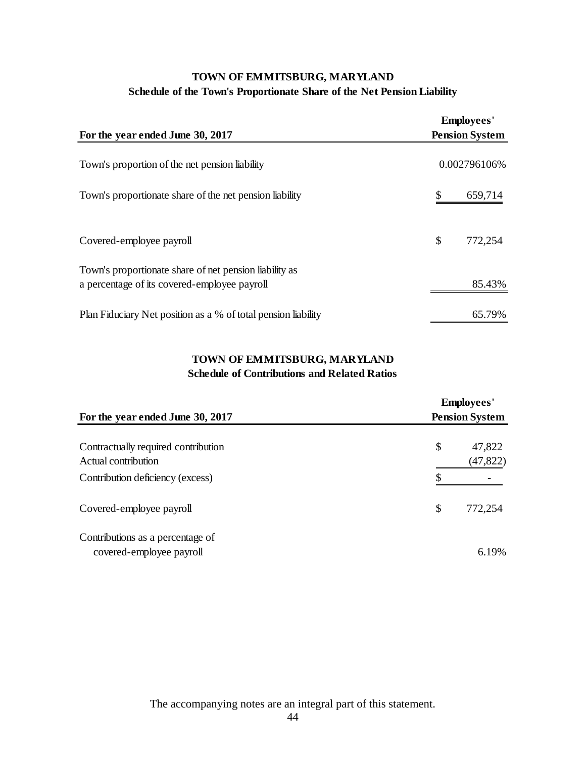## **TOWN OF EMMITSBURG, MARYLAND Schedule of the Town's Proportionate Share of the Net Pension Liability**

| For the year ended June 30, 2017                                                                       | <b>Employees'</b><br><b>Pension System</b> |
|--------------------------------------------------------------------------------------------------------|--------------------------------------------|
| Town's proportion of the net pension liability                                                         | 0.002796106%                               |
| Town's proportionate share of the net pension liability                                                | 659,714                                    |
| Covered-employee payroll                                                                               | \$<br>772,254                              |
| Town's proportionate share of net pension liability as<br>a percentage of its covered-employee payroll | 85.43%                                     |
| Plan Fiduciary Net position as a % of total pension liability                                          | 65.79%                                     |

## **Schedule of Contributions and Related Ratios TOWN OF EMMITSBURG, MARYLAND**

| For the year ended June 30, 2017                             |    | <b>Employees'</b><br><b>Pension System</b> |
|--------------------------------------------------------------|----|--------------------------------------------|
| Contractually required contribution<br>Actual contribution   | \$ | 47,822<br>(47, 822)                        |
| Contribution deficiency (excess)                             | S  |                                            |
| Covered-employee payroll                                     | \$ | 772,254                                    |
| Contributions as a percentage of<br>covered-employee payroll |    | 6.19%                                      |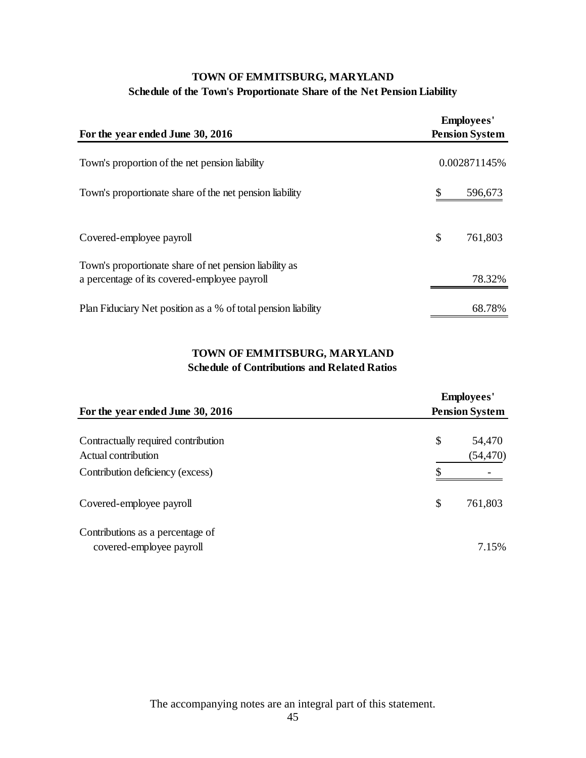## **TOWN OF EMMITSBURG, MARYLAND Schedule of the Town's Proportionate Share of the Net Pension Liability**

| For the year ended June 30, 2016                                                                       | <b>Employees'</b><br><b>Pension System</b> |  |
|--------------------------------------------------------------------------------------------------------|--------------------------------------------|--|
| Town's proportion of the net pension liability                                                         | 0.002871145%                               |  |
| Town's proportionate share of the net pension liability                                                | 596,673                                    |  |
| Covered-employee payroll                                                                               | \$<br>761,803                              |  |
| Town's proportionate share of net pension liability as<br>a percentage of its covered-employee payroll | 78.32%                                     |  |
| Plan Fiduciary Net position as a % of total pension liability                                          | 68.78%                                     |  |

## **TOWN OF EMMITSBURG, MARYLAND Schedule of Contributions and Related Ratios**

| For the year ended June 30, 2016    | <b>Employees'</b><br><b>Pension System</b> |  |
|-------------------------------------|--------------------------------------------|--|
| Contractually required contribution | \$<br>54,470                               |  |
| Actual contribution                 | (54, 470)                                  |  |
| Contribution deficiency (excess)    |                                            |  |
| Covered-employee payroll            | \$<br>761,803                              |  |
| Contributions as a percentage of    |                                            |  |
| covered-employee payroll            | 7.15%                                      |  |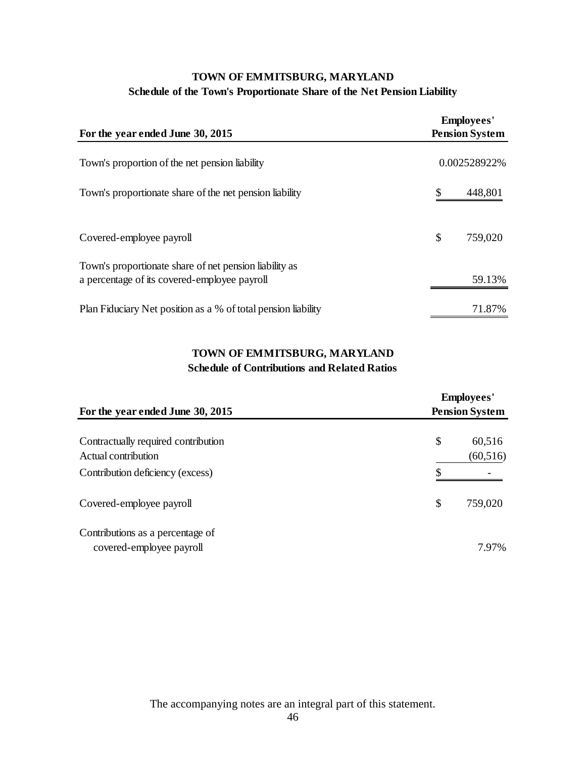## **TOWN OF EMMITSBURG, MARYLAND Schedule of the Town's Proportionate Share of the Net Pension Liability**

| For the year ended June 30, 2015                                                                       | <b>Employees'</b><br><b>Pension System</b><br>0.002528922% |  |
|--------------------------------------------------------------------------------------------------------|------------------------------------------------------------|--|
| Town's proportion of the net pension liability                                                         |                                                            |  |
| Town's proportionate share of the net pension liability                                                | 448,801                                                    |  |
| Covered-employee payroll                                                                               | \$<br>759,020                                              |  |
| Town's proportionate share of net pension liability as<br>a percentage of its covered-employee payroll | 59.13%                                                     |  |
| Plan Fiduciary Net position as a % of total pension liability                                          | 71.87%                                                     |  |

## **TOWN OF EMMITSBURG, MARYLAND Schedule of Contributions and Related Ratios**

|                                                              |    | <b>Employees'</b><br><b>Pension System</b> |  |
|--------------------------------------------------------------|----|--------------------------------------------|--|
| For the year ended June 30, 2015                             |    |                                            |  |
| Contractually required contribution<br>Actual contribution   | \$ | 60,516<br>(60, 516)                        |  |
| Contribution deficiency (excess)                             |    |                                            |  |
| Covered-employee payroll                                     | \$ | 759,020                                    |  |
| Contributions as a percentage of<br>covered-employee payroll |    | 797%                                       |  |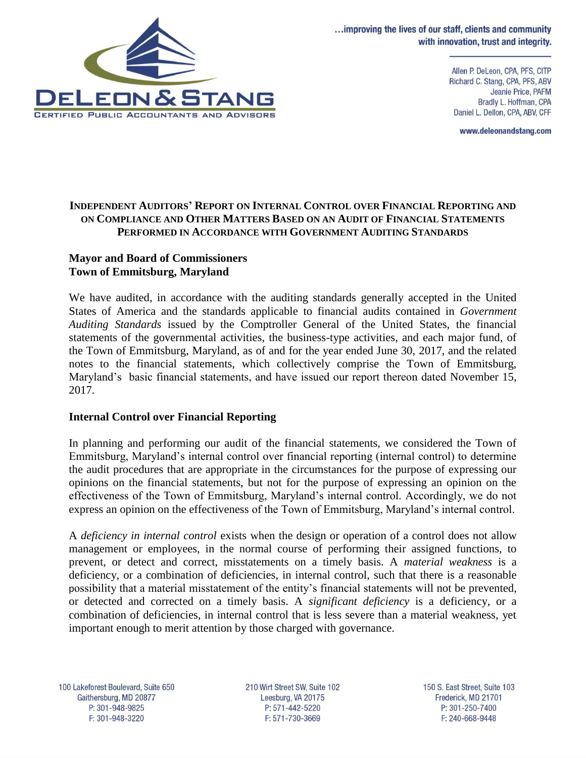

... improving the lives of our staff, clients and community with innovation, trust and integrity.

> Allen P. DeLeon, CPA, PFS, CITP Richard C. Stang, CPA, PFS, ABV Jeanie Price, PAFM Bradly L. Hoffman, CPA Daniel L. Dellon, CPA, ABV, CFF

> > www.deleonandstang.com

## **INDEPENDENT AUDITORS' REPORT ON INTERNAL CONTROL OVER FINANCIAL REPORTING AND ON COMPLIANCE AND OTHER MATTERS BASED ON AN AUDIT OF FINANCIAL STATEMENTS PERFORMED IN ACCORDANCE WITH GOVERNMENT AUDITING STANDARDS**

## **Mayor and Board of Commissioners Town of Emmitsburg, Maryland**

We have audited, in accordance with the auditing standards generally accepted in the United States of America and the standards applicable to financial audits contained in *Government Auditing Standards* issued by the Comptroller General of the United States, the financial statements of the governmental activities, the business-type activities, and each major fund, of the Town of Emmitsburg, Maryland, as of and for the year ended June 30, 2017, and the related notes to the financial statements, which collectively comprise the Town of Emmitsburg, Maryland's basic financial statements, and have issued our report thereon dated November 15, 2017.

### **Internal Control over Financial Reporting**

In planning and performing our audit of the financial statements, we considered the Town of Emmitsburg, Maryland's internal control over financial reporting (internal control) to determine the audit procedures that are appropriate in the circumstances for the purpose of expressing our opinions on the financial statements, but not for the purpose of expressing an opinion on the effectiveness of the Town of Emmitsburg, Maryland's internal control. Accordingly, we do not express an opinion on the effectiveness of the Town of Emmitsburg, Maryland's internal control.

A *deficiency in internal control* exists when the design or operation of a control does not allow management or employees, in the normal course of performing their assigned functions, to prevent, or detect and correct, misstatements on a timely basis. A *material weakness* is a deficiency, or a combination of deficiencies, in internal control, such that there is a reasonable possibility that a material misstatement of the entity's financial statements will not be prevented, or detected and corrected on a timely basis. A *significant deficiency* is a deficiency, or a combination of deficiencies, in internal control that is less severe than a material weakness, yet important enough to merit attention by those charged with governance.

210 Wirt Street SW, Suite 102 Leesburg, VA 20175 P: 571-442-5220 F: 571-730-3669

150 S. East Street, Suite 103 Frederick, MD 21701 P: 301-250-7400 F: 240-668-9448